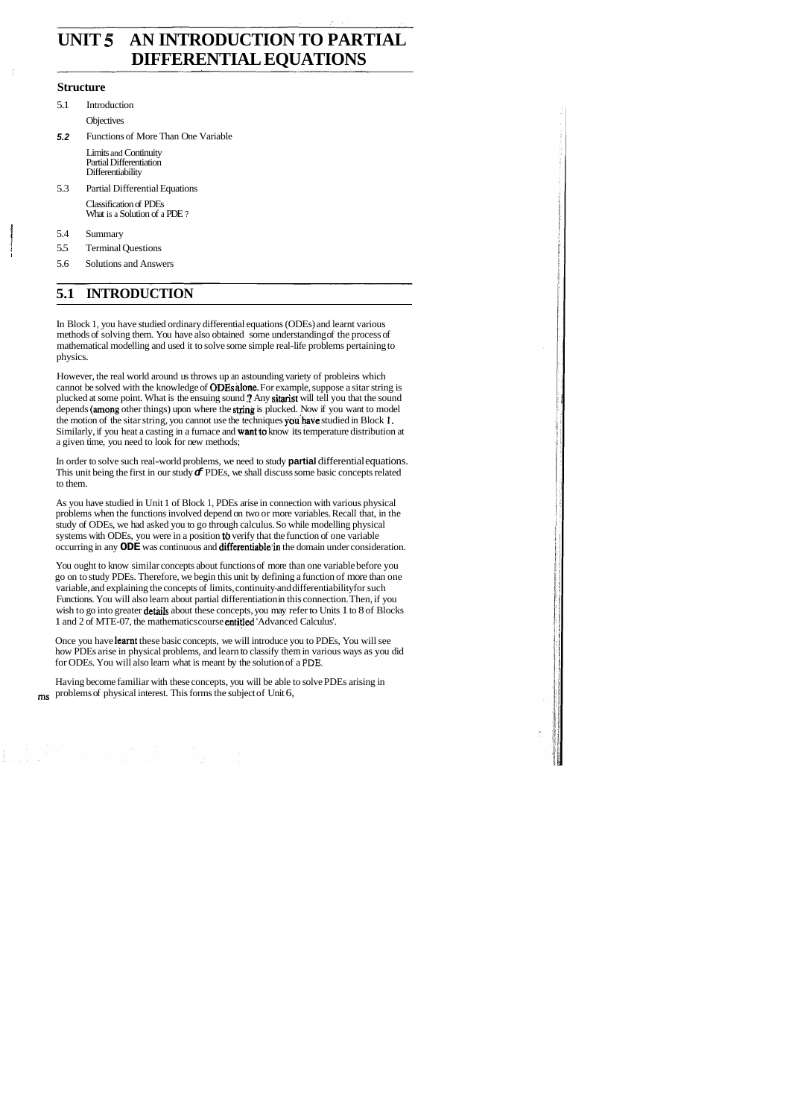# **UNIT 5 AN INTRODUCTION TO PARTIAL DIFFERENTIAL EQUATIONS**

#### **Structure**

- 5.1 Introduction **Objectives**
- **5.2** Functions of More Than One Variable

Limits and Continuity Partial Differentiation Differentiability

5.3 Partial Differential Equations

Classification of PDEs What is a Solution of a PDE ?

<sup>1</sup>5.4 Summary

I

5.5 Terminal Questions

5.6 Solutions and Answers

## **5.1 INTRODUCTION**

In Block 1, you have studied ordinary differential equations (ODEs) and learnt various methods of solving them. You have also obtained some understanding of the process of mathematical modelling and used it to solve some simple real-life problems pertaining to physics.

As you have studied in Unit 1 of Block 1, PDEs arise in connection with various physical problems when the functions involved depend on two or more variables. Recall that, in the study of ODEs, we had asked you to go through calculus. So while modelling physical systems with ODEs, you were in a position to verify that the function of one variable occurring in any **ODE** was continuous and **differentiable** in the domain under consideration.

However, the real world around us throws up an astounding variety of probleins which cannot be solved with the knowledge of **ODEs alone**. For example, suppose a sitar string is plucked at some point. What is the ensuing sound **?** Any **sitarist** will tell you that the sound depends (among other things) upon where the string is plucked. Now if you want to model the motion of the sitar string, you cannot use the techniques you have studied in Block 1. Similarly, if you heat a casting in a furnace and **want to** know its temperature distribution at a given time, you need to look for new methods;

In order to solve such real-world problems, we need to study **partial** differential equations. This unit being the first in our study  $\sigma$  PDEs, we shall discuss some basic concepts related to them.

You ought to know similar concepts about functions of more than one variable before you go on to study PDEs. Therefore, we begin this unit by defining a function of more than one variable, and explaining the concepts of limits, continuity-and differentiability for such Functions. You will also learn about partial differentiation in this connection. Then, if you wish to go into greater details about these concepts, you may refer to Units 1 to 8 of Blocks 1 and 2 of MTE-07, the mathematics course entitled 'Advanced Calculus'.

Once you have learnt these basic concepts, we will introduce you to PDEs, You will see how PDEs arise in physical problems, and learn to classify them in various ways as you did for ODEs. You will also learn what is meant by the solution of a **PDE.** 

Having become familiar with these concepts, you will be able to solve PDEs arising in ms problems of physical interest. This forms the subject of Unit 6,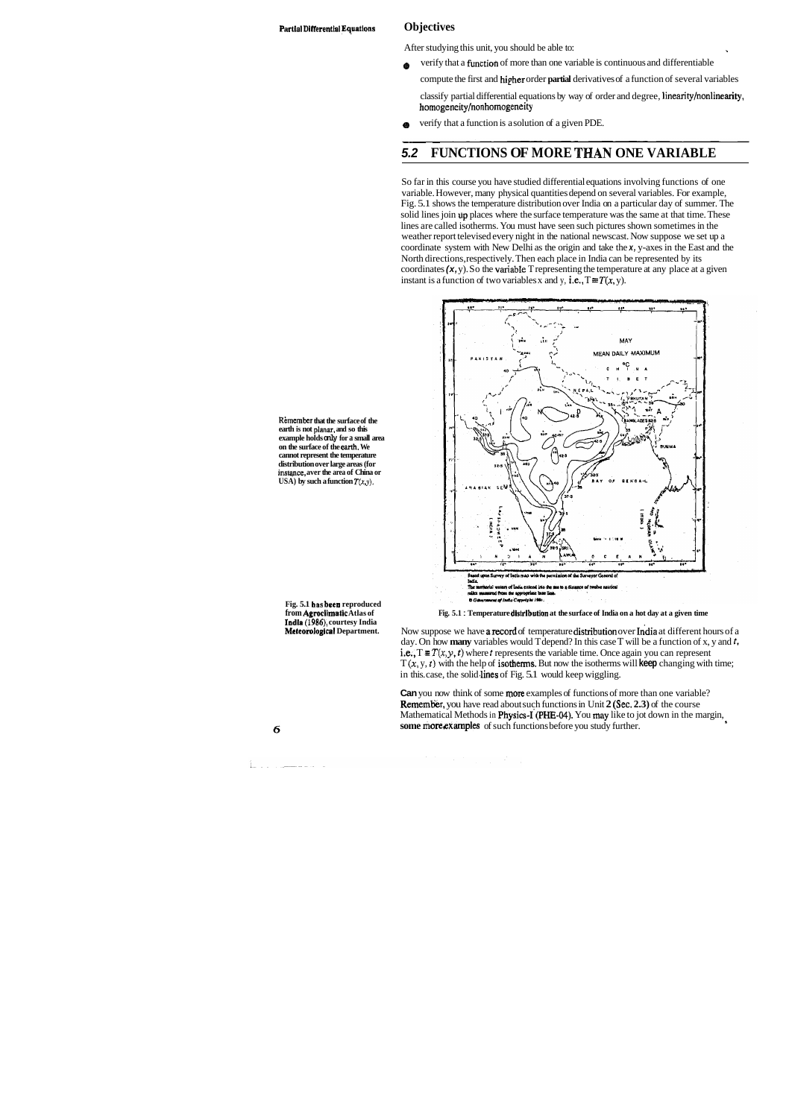After studying this unit, you should be able to:

- verify that a function of more than one variable is continuous and differentiable ' ◈
	- compute the first and hipher order **partial** derivatives of a function of several variables

So far in this course you have studied differential equations involving functions of one variable. However, many physical quantities depend on several variables. For example, Fig. 5.1 shows the temperature distribution over India on a particular day of summer. The solid lines join up places where the surface temperature was the same at that time. These lines are called isotherms. You must have seen such pictures shown sometimes in the weather report televised every night in the national newscast. Now suppose we set up a coordinate system with New Delhi as the origin and take the **x,** y-axes in the East and the North directions, respectively. Then each place in India can be represented by its coordinates (x, y). So the variable T representing the temperature at any place at a given instant is a function of two variables x and y, i.e.,  $T \equiv T(x, y)$ .

classify partial differential equations by way of order and degree, linearity/nonlinearity, homogeneity/nonhomogeneity

werify that a function is a solution of a given PDE.

### **5.2 FUNCTIONS OF MORE THAN ONE VARIABLE**

**Remember that the surface of the earth is not planar, and so this example holds only for a small area on the surface of the earth. We cannot represent the temperature** 

**distribution over large areas (for instqnce, aver the area of China or USA)** by such a function  $T(x, y)$ .

**Fig. 5.1 bas been reproduced from Agroclirnatlc Atlas of Indln (1986), courtesy India Meteorological Department.** 

Now suppose we have a record of temperature distribution over India at different hours of a day. On how **many** variables would T depend? In this case T will be a function of x, y and *t,*  i.e.,  $T \equiv T(x, y, t)$  where *t* represents the variable time. Once again you can represent  $T(x, y, t)$  with the help of isotherms. But now the isotherms will keep changing with time; in this. case, the solid lines of Fig. 5.1 would keep wiggling.

**Can** you now think of some **more** examples of functions of more than one variable? **Remember,** you have read about such functions in Unit 2 (Sec. 2.3) of the course Mathematical Methods in Physics-I (PHE-04). You may like to jot down in the margin, some more *examples* of such functions before you study further.

#### $\mathbf 6$

<u> 1960 - Jan Samman, markazi</u>

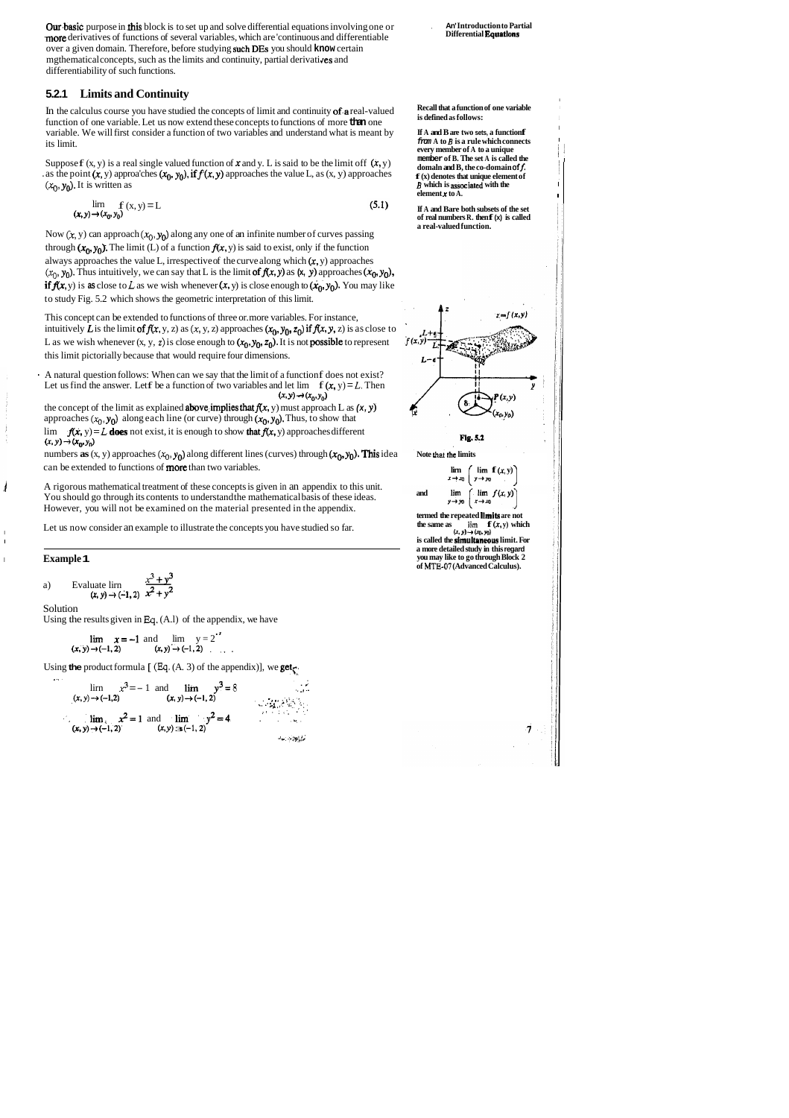Our basic purpose in this block is to set up and solve differential equations involving one or .more derivatives of functions of several variables, which are 'continuous and differentiable over a given domain. Therefore, before studying such DEs you should **know** certain mgthematical concepts, such as the limits and continuity, partial derivatives and differentiability of such functions.

### **5.2.1 Limits and Continuity**

In the calculus course you have studied the concepts of limit and continuity 0f.a real-valued function of one variable. Let us now extend these concepts to functions of more **than** one variable. We will first consider a function of two variables and understand what is meant by its limit.

Suppose  $f(x, y)$  is a real single valued function of  $x$  and  $y$ . L is said to be the limit off  $(x, y)$ . as the point  $(x, y)$  approa'ches  $(x_0, y_0)$ , if  $f(x, y)$  approaches the value L, as  $(x, y)$  approaches  $(x_0, y_0)$ . It is written as

Now  $(x, y)$  can approach  $(x_0, y_0)$  along any one of an infinite number of curves passing through  $(x_0, y_0)$ . The limit (L) of a function  $f(x, y)$  is said to exist, only if the function always approaches the value L, irrespective of the curve along which  $(x, y)$  approaches  $(x_0, y_0)$ . Thus intuitively, we can say that L is the limit of  $f(x, y)$  as  $(x, y)$  approaches  $(x_0, y_0)$ , if  $f(x, y)$  is as close to L as we wish whenever  $(x, y)$  is close enough to  $(x_0, y_0)$ . You may like to study Fig. 5.2 which shows the geometric interpretation of this limit.

$$
\lim_{(x, y) \to (x_0, y_0)} f(x, y) = L \tag{5.1}
$$

numbers **as**  $(x, y)$  approaches  $(x_0, y_0)$  along different lines (curves) through  $(x_0, y_0)$ . This idea can be extended to functions of more than two variables.

This concept can be extended to functions of three or. more variables. For instance, intuitively  $\bar{L}$  is the limit of  $f(x, y, z)$  as  $(x, y, z)$  approaches  $(x_0, y_0, z_0)$  if  $f(x, y, z)$  is as close to L as we wish whenever  $(x, y, z)$  is close enough to  $(x_0, y_0, z_0)$ . It is not **possible** to represent this limit pictorially because that would require four dimensions.

- A natural question follows: When can we say that the limit of a function f does not exist? Let us find the answer. Let f be a function of two variables and let  $\lim_{x \to a} f(x, y) = L$ . Then  $(x, y) \rightarrow (x_0, y_0)$ 

the concept of the limit as explained **above** implies that  $f(x, y)$  must approach L as  $(x, y)$ approaches  $(x_0, y_0)$  along each line (or curve) through  $(x_0, y_0)$ . Thus, to show that lim  $f(x, y) = L$  **does** not exist, it is enough to show that  $f(x, y)$  approaches different  $(x, y) \rightarrow (x_0, y_0)$ 

> **Note that the limits**   $\lim_{x \to x_0} \left( \lim_{y \to y_0} \mathbf{f}(x, y) \right)$ **and**  lim  $\lim f(x, y)$  $y \rightarrow y_0$  $x \rightarrow xy$

**termed the repeated llmits are not**  the same as  $\lim_{(x, y) \to (x_0, y_0)} f(x, y)$ 

is called the **simultaneous** limit. For **a more detailed study in this regard you may like to go through Block 2 of MTE-07 (Advanced Calculus).** 



*/* A rigorous mathematical treatment of these concepts is given in an appendix to this unit. You should go through its contents to understand the mathematical basis of these ideas. However, you will not be examined on the material presented in the appendix.

ILET US NOT CONSIDER A LET US NOW CONSIDER A PART AND RESIDENCE IN LET US OF A LET US OF A LET US OF A LET US OF A LET US OF A LET US OF A LET US OF A LET US OF A LET US OF A LET US OF A LET US OF A LET US OF A LET US OF A

I

#### <sup>I</sup>**Example 1**

However, you will not be examined on the  
Let us now consider an example to illustrate  
**Example 1**  
a) Evaluate 
$$
\lim_{(x, y) \to (-1, 2)} \frac{x^3 + y^3}{x^2 + y^2}
$$

Solution

Using the results given in **Eq.** (A.l) of the appendix, we have

 $\lim x = -1$  and  $\lim y = 2^{t}$  $(x, y) \rightarrow (-1, 2)$   $(x, y) \rightarrow (-1, 2)$  , .

Using **the** product formula [ **(Eq.** (A. 3) of the appendix)], we get^:

$$
\lim_{(x, y) \to (-1, 2)} x^3 = -1 \text{ and } \lim_{(x, y) \to (-1, 2)} y^3 = 8
$$
  

$$
\lim_{(x, y) \to (-1, 2)} x^2 = 1 \text{ and } \lim_{(x, y) \to (-1, 2)} y^2 = 4
$$

, **An' Introduction to Partial Differential Equations** 

I

 $\cdot$  |

#### **Recall that a function of one variable** is defined as follows:

<sup>I</sup>**If A and B are two sets, a function f from A to** *B* **is a rule which connects** <sup>I</sup> **every member of A to a unique member of B. The set A is called the**   $domaln$  and  $B$ , the co-domain of  $f$ . **f (x) denotes that unique element of**  *B* **which is associated with the element x to A.** 

**If A and Bare both subsets of the set of real numbers R. then f (x) is called a real-valued function.** 



Fig. 5.2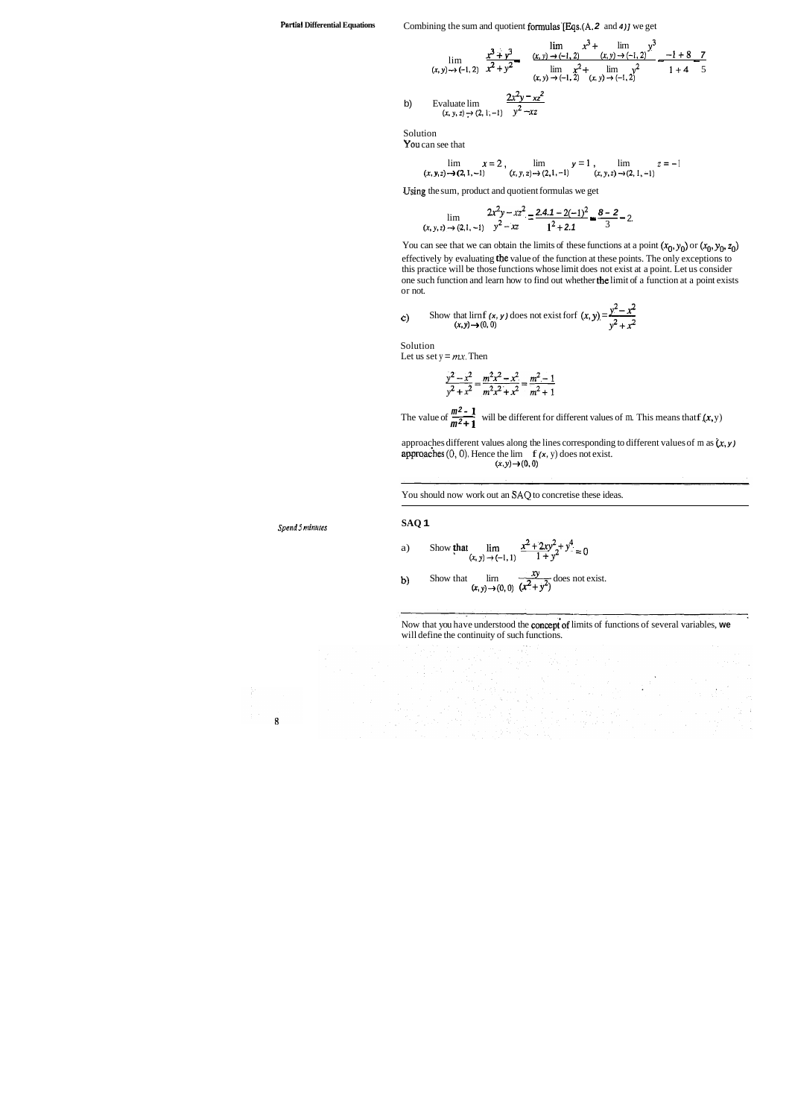**Partial Differential Equations** Combining the sum and quotient formulas'[Eqs.(A. **2** and **4)]** we get

$$
\lim_{(x, y) \to (-1, 2)} \frac{x^3 + y^3}{x^2 + y^2} = \frac{\lim_{(x, y) \to (-1, 2)} x^3 + \lim_{(x, y) \to (-1, 2)} y^3}{\lim_{(x, y) \to (-1, 2)} x^2 + \lim_{(x, y) \to (-1, 2)} y^2} = \frac{-1 + 8}{1 + 4} = \frac{7}{5}
$$
  
b) Evaluate  $\lim_{(x, y, z) \to (2, 1, -1)} \frac{2x^2y - xz^2}{y^2 - xz}$ 

Solution

You can see that

$$
\lim_{(x, y, z) \to (2, 1, -1)} x = 2, \lim_{(x, y, z) \to (2, 1, -1)} y = 1, \lim_{(x, y, z) \to (2, 1, -1)} z = -1
$$

.Using the sum, product and quotient formulas we get

$$
\lim_{(x, y, z) \to (2, 1, -1)} \frac{2x^2y - xz^2}{y^2 - xz} = \frac{2.4.1 - 2(-1)^2}{1^2 + 2.1} = \frac{8 - 2}{3} - 2.
$$

You can see that we can obtain the limits of these functions at a point  $(x_0, y_0)$  or  $(x_0, y_0, z_0)$ effectively by evaluating the value of the function at these points. The only exceptions to this practice will be those functions whose limit does not exist at a point. Let us consider one such function and learn how to find out whether the limit of a function at a point exists or not. **y** You can see that we can obtain the limits of these functions at a point (**x** effectively by evaluating the value of the function at these points. The o this practice will be those functions whose limit does not exist

Solution Let us set  $y = mx$ . Then

$$
\frac{y^2 - x^2}{y^2 + x^2} = \frac{m^2x^2 - x^2}{m^2x^2 + x^2} = \frac{m^2 - 1}{m^2 + 1}
$$

Solution<br>
Let us set  $y = mx$ . Then<br>  $\frac{y^2 - x^2}{y^2 + x^2} = \frac{m^2x^2 - x^2}{m^2x^2 + x^2} = \frac{m^2 - 1}{m^2 + 1}$ <br>
The value of  $\frac{m^2 - 1}{m^2 + 1}$  will be different for different values of m. This means that f (*x*, *y*) **m2+ <sup>1</sup>**

approaches different values along the lines corresponding to different values of m as  $(x, y)$ approaches  $(0, 0)$ . Hence the lirn  $f(x, y)$  does not exist.  $(x, y) \rightarrow (0, 0)$ 

c) Show that 
$$
\lim_{(x, y) \to (0, 0)}
$$
 does not exist for  $(x, y) = \frac{y^2 - x^2}{y^2 + x^2}$ 

*Spend5* **minutes** 

You should now work out an **SAQ** to concretise these ideas.

**SAQ 1** 

a) Show that 
$$
\lim_{(x, y) \to (-1, 1)} \frac{x^2 + 2xy^2 + y^4}{1 + y^2} = 0
$$

**b)** Show that  $\lim_{(x, y) \to (0, 0)} \frac{dy}{(x^2 + y^2)}$  does not exist.

Now that you have understood the concept'of limits of functions of several variables, **we**  will define the continuity of such functions.

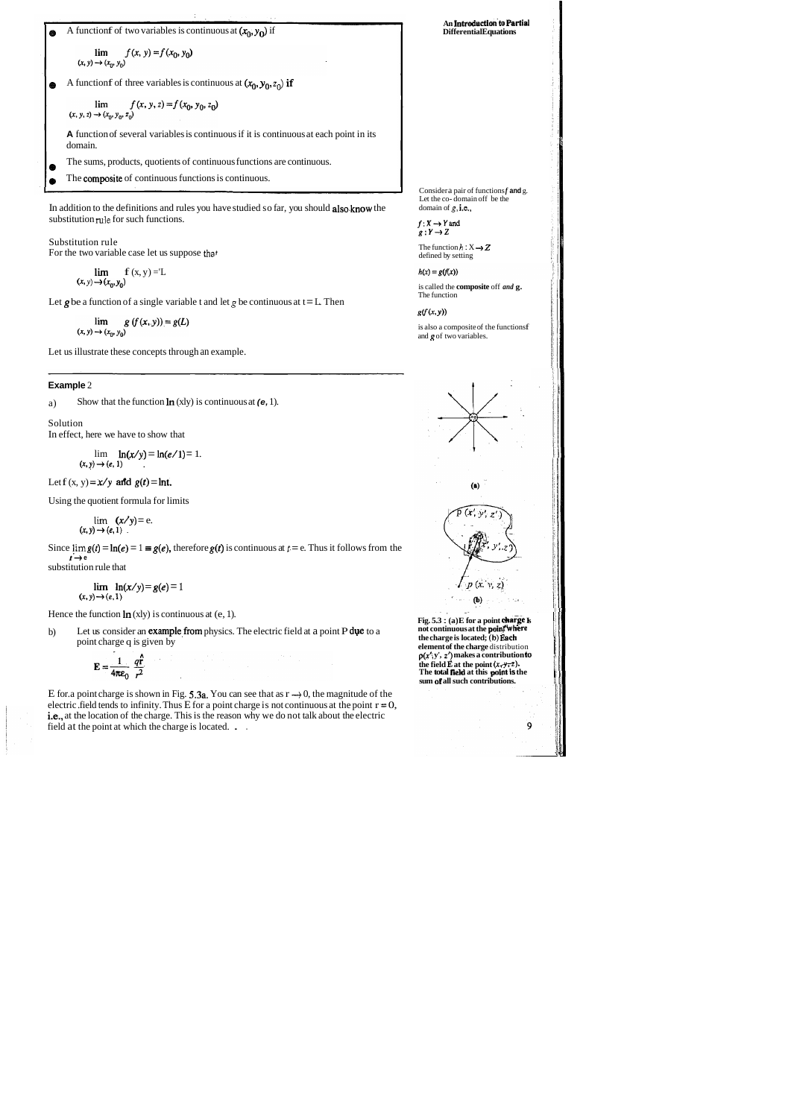A function f of two variables is continuous at 
$$
(x_0, y_0)
$$
 if

 $\lim_{(x,\,y)\rightarrow (x_0,\,y_0)}f(x,\,y)=f(x_0,\,y_0)$ 

A function f of three variables is continuous at  $(x_0, y_0, z_0)$  if  $\bullet$ 

$$
\lim_{(x, y, z) \to (x_0, y_0, z_0)} f(x, y, z) = f(x_0, y_0, z_0)
$$

**A** function of several variables is continuous if it is continuous at each point in its domain.

- **a** The sums, products, quotients of continuous functions are continuous.
- The composite of continuous functions is continuous.  $\bullet$

In addition to the definitions and rules you have studied so far, you should also.know the substitution **rule** for such functions.

Substitution rule For the two variable case let us suppose **that** 

Since  $\lim g(t) = \ln(e) = 1 \equiv g(e)$ , therefore  $g(t)$  is continuous at  $t = e$ . Thus it follows from the  $t \rightarrow e$ substitution rule that

$$
\lim_{(x,\,y)\rightarrow(x_0,\,y_0)}f(x,y)=L
$$

Let  $g$  be a function of a single variable t and let  $g$  be continuous at  $t = L$ . Then

 $\lim_{(x, y) \to (x_0, y_0)} g(f(x, y)) = g(L)$ 

b) Let us consider an **example from** physics. The electric field at a point P due to a point charge q is given by

$$
\mathbf{E} = \frac{1}{4\pi\epsilon_0} \frac{q\hat{\mathbf{r}}}{r^2}
$$

Let us illustrate these concepts through an example.

#### **Example** 2

a) Show that the function In (xly) is continuous at **(e,** 1).

E for. a point charge is shown in Fig. 5.3a. You can see that as  $r \rightarrow 0$ , the magnitude of the electric .field tends to infinity. Thus E for a point charge is not continuous at the point  $r = 0$ , i.e., at the location of the charge. This is the reason why we do not talk about the electric field at the point at which the charge is located. . .

**An Introduction'to Partial Differential Equations** 

Solution In effect, here we have to show that

> $\ln(x/y) = \ln(e/1) = 1.$  $(x, y) \rightarrow (e, 1)$

Let  $f(x, y) = x/y$  and  $g(t) = \ln t$ .

Consider a pair of functions *f* and *g*. Let the co- domain off be the domain of **g,** i.e.,

 $f: X \rightarrow Y$  and  $g:Y\rightarrow Z$ 

The function  $h: X \rightarrow Z$ defined by setting

 $h(x) = g(f(x))$ is called the **composite** off *and* **g.** 

The function  $g(f(x, y))$ 

Using the quotient formula for limits

is also a composite of the functionsf and **g** of two variables.

$$
\lim_{(x, y) \to (e, 1)} (x/y) = e.
$$

**Fig. 5.3** : **(a)E** for a point **charge k not continuous at the point where the charge is located; (b) Each element of the charge** distribution *p(x:* **y', 2') makes a contribution to the field E** at the point  $(x, y, z)$ . **The total neld at this paint is the sum of all such contributions.** 

$$
\lim_{(x, y) \to (e, 1)} \ln(x/y) = g(e) = 1
$$

Hence the function  $\ln(x)y$  is continuous at (e, 1).



i

I

9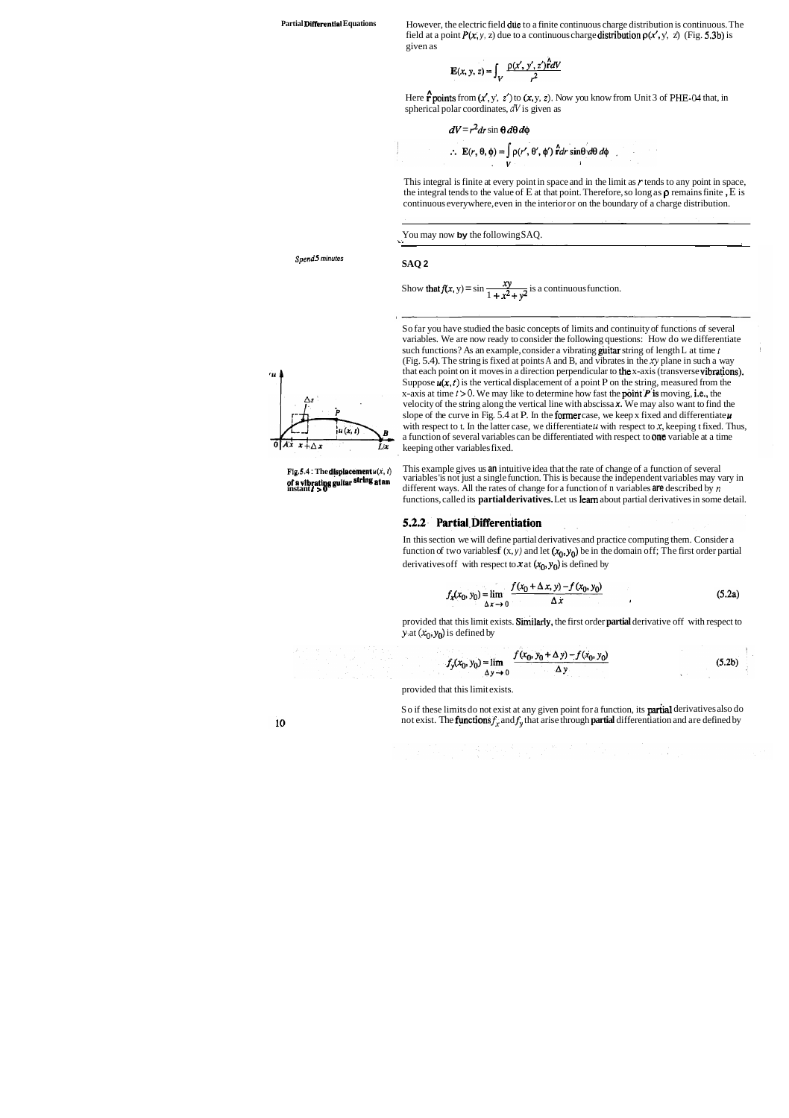Partial Differential Equations **However, the electric field due to a finite continuous charge distribution is continuous. The** field at a point  $P(x, y, z)$  due to a continuous charge distribution  $p(x', y', z)$  (Fig. 5.3b) is given as

$$
\mathbf{E}(x, y, z) = \int_V \frac{\rho(x', y', z') \hat{r} dV}{r^2}
$$

Here **r** points from  $(x', y', z')$  to  $(x, y, z)$ . Now you know from Unit 3 of PHE-04 that, in spherical polar coordinates, **dV** is given as

$$
dV = r^2 dr \sin \theta d\theta d\phi
$$
  
\n
$$
\therefore E(r, \theta, \phi) = \int_{V} \rho(r', \theta', \phi') \hat{r} dr \sin \theta d\theta d\phi
$$

This integral is finite at every point in space and in the limit as *r* tends to any point in space, the integral tends to the value of E at that point. Therefore, so long as  $\rho$  remains finite, E is continuous everywhere, even in the interior or on the boundary of a charge distribution.

*Spend* **5 minutes** 

**SAQ 2** 

Show that 
$$
f(x, y) = \sin \frac{xy}{1 + x^2 + y^2}
$$
 is a continuous function.



**Fig.5.4 : The displacement**  $u(x, t)$  **This example gives us an intuitive idea that the rate of change of a function of several of a vibrating guitar string at an variables is not just a single function. This is because the** variables 'is not just a single function. This is because the independent variables may vary in **different ways.** All the rates of change for a function of n variables **are** described by  $n$ functions, called its **partial derivatives.** Let us learn about partial derivatives in some detail.

> In this section we will define partial derivatives and practice computing them. Consider a function of two variables  $f(x, y)$  and let  $(x_0, y_0)$  be in the domain off; The first order partial derivatives of f with respect to  $x$  at  $(x_0, y_0)$  is defined by

#### 5.2.2 Partial Differentiation

$$
f_x(x_0, y_0) = \lim_{\Delta x \to 0} \frac{f(x_0 + \Delta x, y) - f(x_0, y_0)}{\Delta x}
$$
 (5.2a)

provided that this limit exists. similarly, the first order **partial** derivative off with respect to **y** at  $(x_0, y_0)$  is defined by

$$
f_y(x_0, y_0) = \lim_{\Delta y \to 0} \frac{f(x_0, y_0 + \Delta y) - f(x_0, y_0)}{\Delta y}
$$
(5.2b)

So far you have studied the basic concepts of limits and continuity of functions of several variables. We are now ready to consider the following questions: How do we differentiate such functions? As an example, consider a vibrating guitar string of length L at time *t*  (Fig. 5.4). The string is fixed at points A and B, and vibrates in the xy plane in such a way that each point on it moves in a direction perpendicular to the x-axis (transverse vibratjons). Suppose  $u(x, t)$  is the vertical displacement of a point P on the string, measured from the x-axis at time  $t > 0$ . We may like to determine how fast the **point P** is moving, i.e., the velocity of the string along the vertical line with abscissa **x.** We may also want to find the slope of the curve in Fig. 5.4 at P. In the former case, we keep x fixed and differentiate $\boldsymbol{\mu}$ with respect to t. In the latter case, we differentiate  $\mu$  with respect to x, keeping t fixed. Thus, a function of several variables can be differentiated with respect to one variable at a time

You may now **by** the following SAQ.

keeping other variables fixed.

provided that this limit exists.

So if these limits do not exist at any given point for a function, its **partial** derivatives also do not exist. The **functions**  $f_x$  and  $f_y$  that arise through **partial** differentiation and are defined by

10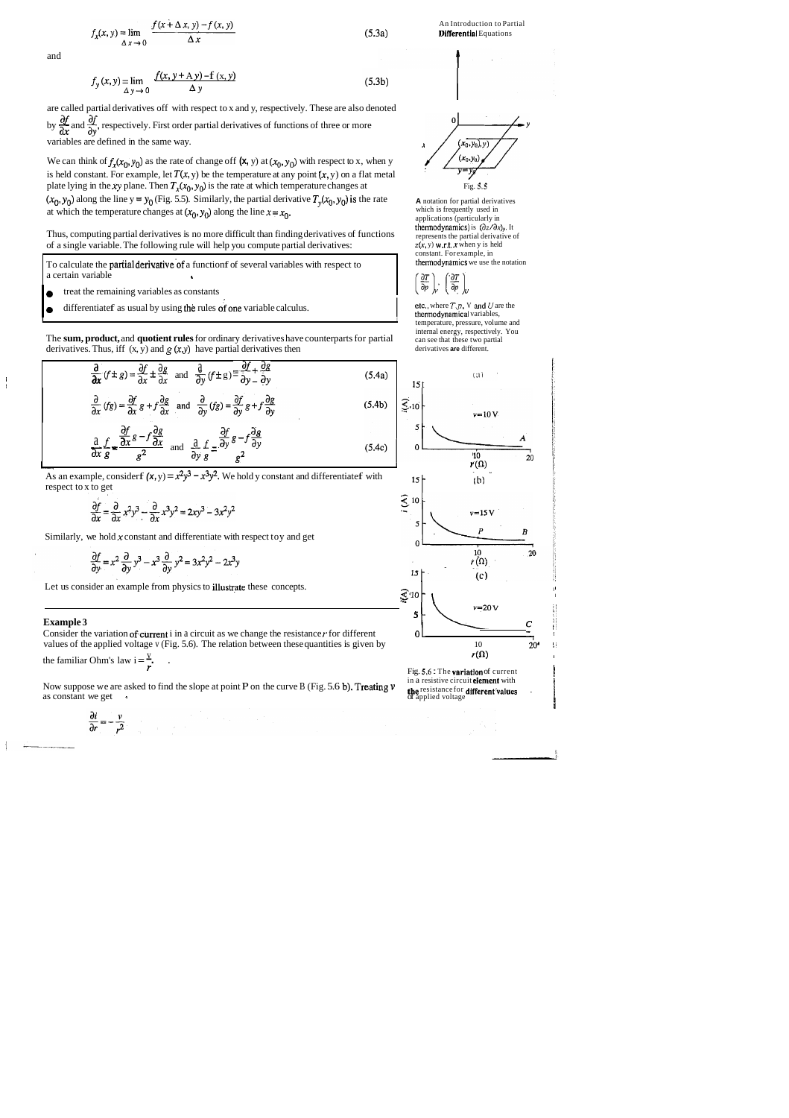are called partial derivatives off with respect to x and y, respectively. These are also denoted by  $\frac{\partial f}{\partial r}$  and  $\frac{\partial f}{\partial y}$ , respectively. First order partial derivatives of functions of three or more and<br>  $f_y(x, y) = \lim_{\Delta y \to 0} \frac{f(x, y + \Delta y) - f(x, y)}{\Delta y}$  (5.3b)<br>
are called partial derivatives off with respect to x and y, respectively. These are also denoted<br>
by  $\frac{\partial f}{\partial x}$  and  $\frac{\partial f}{\partial y}$ , respectively. First order partial

We can think of  $f_x(x_0, y_0)$  as the rate of change off  $(\mathbf{x}, y)$  at  $(x_0, y_0)$  with respect to x, when y is held constant. For example, let  $T(x, y)$  be the temperature at any point  $(x, y)$  on a flat metal plate lying in the xy plane. Then  $T_x(x_0, y_0)$  is the rate at which temperature changes at Fig. 5.5 plate lying in the xy plane. Then  $T_x(x_0, y_0)$  is the rate at which temperature changes at  $(x_0, y_0)$  along the line y = y<sub>0</sub> (Fig. 5.5). Similarly, the partial derivative  $T_y(x_0, y_0)$  is the rate at which the temperature changes at  $(x_0, y_0)$  along the line  $x = x_0$ .

$$
f_x(x, y) = \lim_{\Delta x \to 0} \frac{f(x + \Delta x, y) - f(x, y)}{\Delta x}
$$
 (5.3a)

and

$$
f_{y}(x, y) = \lim_{\Delta y \to 0} \frac{f(x, y + \Delta y) - f(x, y)}{\Delta y}
$$
(5.3b)

The **sum, product,** and **quotient rules** for ordinary derivatives have counterparts for partial derivatives. Thus, iff  $(x, y)$  and  $g(x,y)$  have partial derivatives then

Thus, computing partial derivatives is no more difficult than finding derivatives of functions of a single variable. The following rule will help you compute partial derivatives:

To calculate the **partial derivative** of a function f of several variables with respect to a certain variable

- 
- **o** treat the remaining variables as constants differentiate f as usual by using the rules of one variable calculus.

etc., where  $T$ ,  $p$ , V and U are the thermodynamical variables, temperature, pressure, volume and internal energy, respectively. You can see that these two partial derivatives **are** different.

**A** notation for partial derivatives which is frequently used in applications (particularly in thermodynamics) is  $(\partial z/\partial x)_{y}$ . It represents the partial derivative of  $z(x, y)$  w.r.t. x when y is held constant. For example, in thermodynamics we use the notation

$$
\left(\frac{\partial T}{\partial p}\right)_V \cdot \left(\frac{\partial T}{\partial p}\right)_l
$$

$$
\frac{\partial}{\partial x}(f \pm g) = \frac{\partial f}{\partial x} \pm \frac{\partial g}{\partial x} \text{ and } \frac{\partial}{\partial y}(f \pm g) = \frac{\partial f}{\partial y} + \frac{\partial g}{\partial y}
$$
(5.4a)  

$$
\frac{\partial}{\partial x}(fg) = \frac{\partial f}{\partial x}g + f\frac{\partial g}{\partial x} \text{ and } \frac{\partial}{\partial y}(fg) = \frac{\partial f}{\partial y}g + f\frac{\partial g}{\partial y}
$$
(5.4b)  

$$
\frac{\partial}{\partial x}\frac{f}{g} = \frac{\frac{\partial f}{\partial x}g - f\frac{\partial g}{\partial x}}{g^2} \text{ and } \frac{\partial}{\partial y}\frac{f}{g} = \frac{\partial f}{\partial y}g - f\frac{\partial g}{\partial y}
$$
(5.4c)  

$$
\frac{\partial}{\partial x}\left(\frac{f}{g}\right) = \frac{\frac{\partial f}{\partial x}g - f\frac{\partial g}{\partial x}}{g^2} \text{ and } \frac{\partial}{\partial y}\frac{f}{g} = \frac{\partial f}{\partial y}g - f\frac{\partial g}{\partial y}
$$
(5.4c)

As an example, consider  $f(x,y) = x^2y^3 - x^3y^2$ . We hold y constant and differentiate f with .  $15y^2 + 15y^2 = 15y^2$ respect to x to get<br>  $\frac{\partial f}{\partial x} = \frac{\partial}{\partial} 3x^3 + \frac{\partial}{\partial} 3x^2 + \frac{\partial}{\partial} 3x^3 + \frac{\partial}{\partial} 3x^2 + \frac{\partial}{\partial} 3x^2 + \frac{\partial}{\partial} 3x^2 + \frac{\partial}{\partial} 3x^2 + \frac{\partial}{\partial} 3x^2 + \frac{\partial}{\partial} 3x^2 + \frac{\partial}{\partial} 3x^2 + \frac{\partial}{\partial} 3x^2 + \frac{\partial}{\partial} 3x^2 + \frac{\partial}{\partial} 3x^2 + \frac{\partial}{\$ 

$$
\frac{\partial f}{\partial x} = \frac{\partial}{\partial x} x^2 y^3 - \frac{\partial}{\partial x} x^3 y^2 = 2xy^3 - 3x^2 y^2
$$

Similarly, we hold  $x$  constant and differentiate with respect toy and get

$$
\frac{\partial f}{\partial y} = x^2 \frac{\partial}{\partial y} y^3 - x^3 \frac{\partial}{\partial y} y^2 = 3x^2 y^2 - 2x^3 y
$$

Let us consider an example from physics to illustrate these concepts.  $\mathbb{R}^{110}$ 

I

Consider the variation of current i in a circuit as we change the resistance  $r$  for different  $0 \perp$   $0 \perp$   $10$  values of the applied voltage v (Fig. 5.6). The relation between these quantities is given by values of the applied voltage v (Fig. 5.6). The relation between these quantities is given by 10 20'  $r(\Omega)$ 

the familiar Ohm's law  $i = \frac{v}{r}$ .

Now suppose we are asked to find the slope at point P on the curve B (Fig. 5.6 b). Treating  $\nu$  as constant we get se we are asked to find the slope at point **P** on the curve B (Fig. 5.6 b). Treating  $v$  the resistance for **different** values<br>we get different values of applied voltage of applied voltage

$$
\frac{\partial i}{\partial r} = -\frac{v}{r^2}
$$

An Introduction to Partial **Differential Equations** 







I

#### **Example 3**

**t** 

in a resistive circuit **element** with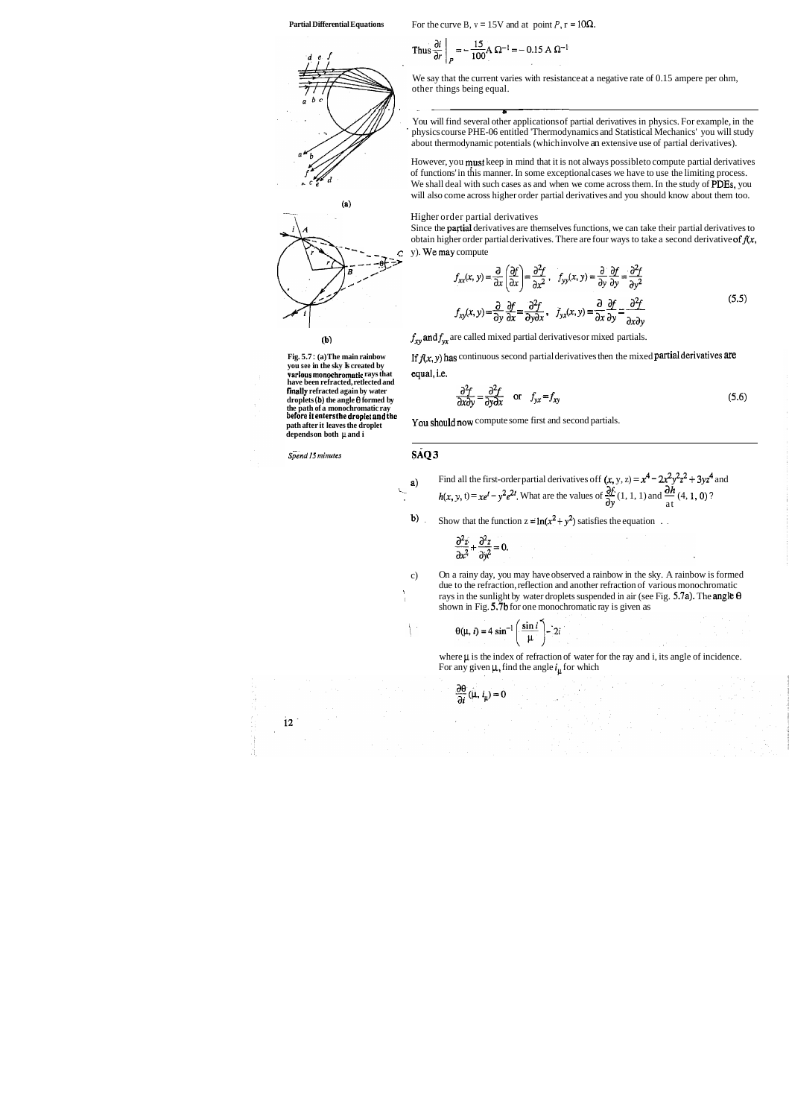We say that the current varies with resistance at a negative rate of 0.15 ampere per ohm, other things being equal.

**L** 

Thus 
$$
\frac{\partial i}{\partial r}\Big|_P = -\frac{15}{100} A \Omega^{-1} = -0.15 A \Omega^{-1}
$$

You will find several other applications of partial derivatives in physics. For example, in the ' physics course PHE-06 entitled 'Thermodynamics and Statistical Mechanics' you will study about thermodynamic potentials (which involve an extensive use of partial derivatives).

Since the partial derivatives are themselves functions, we can take their partial derivatives to obtain higher order partial derivatives. There are four ways to take a second derivative of  $f(x, \cdot)$ y). We may compute

However, you musx keep in mind that it is not always possibleto compute partial derivatives of functions' in this manner. In some exceptional cases we have to use the limiting process. We shall deal with such cases as and when we come across them. In the study of PDEs, you will also come across higher order partial derivatives and you should know about them too.



#### Higher order partial derivatives

**you see in the sky B created by equal, i.e. various monochromatic** rays that **equal, i.e. have been refracted, retlected and finally refracted again by water droplets (b) the angle 0 formed by the path of a monochromatic ray before it enters the droplet and the You should now** compute some first and second partials. **path after it leaves the droplet depends on both jt and i** 

**Spend 15 minutes SAQ 3** 

**Partial Differential Equations** For the curve B,  $v = 15V$  and at point P,  $r = 10\Omega$ .

$$
f_{xx}(x, y) = \frac{\partial}{\partial x} \left( \frac{\partial f}{\partial x} \right) = \frac{\partial^2 f}{\partial x^2}, \quad f_{yy}(x, y) = \frac{\partial}{\partial y} \frac{\partial f}{\partial y} = \frac{\partial^2 f}{\partial y^2}
$$
  

$$
f_{xy}(x, y) = \frac{\partial}{\partial y} \frac{\partial f}{\partial x} = \frac{\partial^2 f}{\partial y \partial x}, \quad f_{yx}(x, y) = \frac{\partial}{\partial x} \frac{\partial f}{\partial y} = \frac{\partial^2 f}{\partial x \partial y}
$$
(5.5)

**(b)**  $f_{xy}$  and  $f_{yx}$  are called mixed partial derivatives or mixed partials.

**Fig. 5.7:** (a) The main rainbow If  $f(x, y)$  has continuous second partial derivatives then the mixed **partial derivatives are** you see in the sky **k** created by

$$
\frac{\partial^2 f}{\partial x \partial y} = \frac{\partial^2 f}{\partial y \partial x} \quad \text{or} \quad f_{yx} = f_{xy}
$$
 (5.6)

 $\frac{1}{1}$ 

- **a**) Find all the first-order partial derivatives off  $(x, y, z) = x^4 2x^2y^2z^2 + 3yz^4$  and  $h(x, y, t) = xe^t y^2e^{2t}$ . What are the values of  $\frac{\partial f}{\partial y}(1, 1, 1)$  and  $\frac{\partial h}{\partial t}(4, 1, 0)$ ?
	- b) Show that the function  $z = \ln(x^2 + y^2)$  satisfies the equation ...

$$
\frac{\partial^2 z}{\partial x^2} + \frac{\partial^2 z}{\partial y^2} = 0.
$$

 $\frac{\partial \theta}{\partial i}(\mu, i_{\mu}) = 0$ 

c) On a rainy day, you may have observed a rainbow in the sky. A rainbow is formed due to the refraction, reflection and another refraction of various monochromatic rays in the sunlight by water droplets suspended in air (see Fig.  $5.7a$ ). The angle  $\theta$ shown in Fig. 5.7b for one monochromatic ray is given as

$$
\theta(\mu, i) = 4 \sin^{-1} \left( \frac{\sin i}{\mu} \right) - 2i
$$

where  $\mu$  is the index of refraction of water for the ray and i, its angle of incidence. For any given  $\mu$ , find the angle  $i_{\mu}$  for which

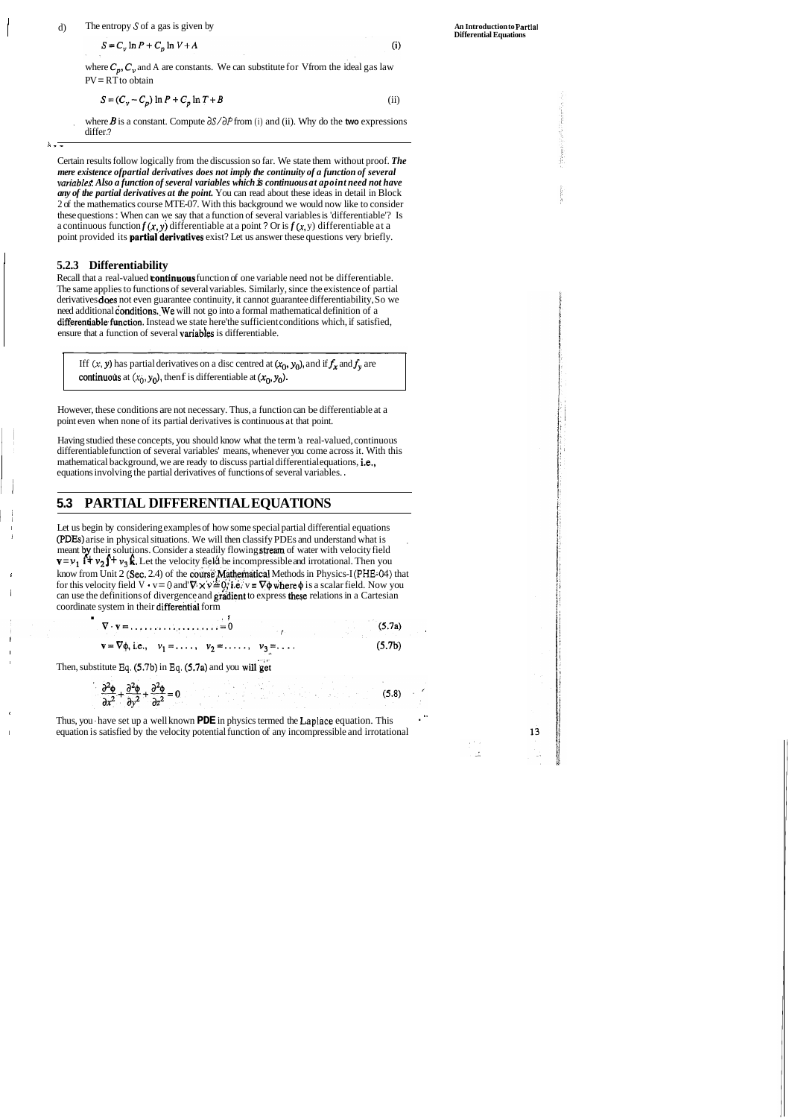#### d) The entropy *S* of a gas is given by

 $S = C_v \ln P + C_p \ln V + A$ 

Certain results follow logically from the discussion so far. We state them without proof. *The mere existence ofpartial derivatives does not imply the continuity of a function of several variableS. Also a function of several variables which* **is** *continuous at apoint need not have any of the partial derivatives at the point.* You can read about these ideas in detail in Block 2 of the mathematics course MTE-07. With this background we would now like to consider these questions : When can we say that a function of several variables is 'differentiable'? Is a continuous function  $f(x, y)$  differentiable at a point ? Or is  $f(x, y)$  differentiable at a point provided its **partial derivatives** exist? Let us answer these questions very briefly.

$$
S = (C_v - C_p) \ln P + C_p \ln T + B \tag{ii}
$$

where **B** is a constant. Compute  $\frac{\partial S}{\partial P}$  from (i) and (ii). Why do the **two** expressions differ.?

*I* , ,

Recall that a real-valued **continuous** function of one variable need not be differentiable. The same applies to functions of several variables. Similarly, since the existence of partial derivatives **does** not even guarantee continuity, it cannot guarantee differentiability, So we need additional conditions. We will not go into a formal mathematical definition of a differentiable function. Instead we state here'the sufficient conditions which, if satisfied, ensure that a function of several variables is differentiable.

Iff  $(x, y)$  has partial derivatives on a disc centred at  $(x_0, y_0)$ , and if  $f_x$  and  $f_y$  are continuous at  $(x_0, y_0)$ , then f is differentiable at  $(x_0, y_0)$ .

#### <sup>1</sup>**5.2.3 Differentiability**

Having studied these concepts, you should know what the term 'a real-valued, continuous differentiable function of several variables' means, whenever you come across it. With this mathematical background, we are ready to discuss partial differential equations, i.e., equations involving the partial derivatives of functions of several variables. .

> Thus, you have set up a well known **PDE** in physics termed the **Laplace** equation. This <sup>I</sup>equation is satisfied by the velocity potential function of any incompressible and irrotational

 $(5.8)$ 

13

 $\pm 1$ 

However, these conditions are not necessary. Thus, a function can be differentiable at a point even when none of its partial derivatives is continuous at that point.

### **5.3 PARTIAL DIFFERENTIAL EQUATIONS**

Let us begin by considering examples of how some special partial differential equations <sup>1</sup>(PDEs) arise in physical situations. We will then classify PDEs and understand what is , meant by their solutions. Consider a steadily flowing stream of water with velocity field **v** =  $v_1$  **f**+  $v_2$  **f**+  $v_3$  **k**. Let the velocity field be incompressible and irrotational. Then you Iknow from Unit 2 (Sec. 2.4) of the course. Mathematical Methods in Physics-I (PHE-04) that for this velocity field  $V \cdot v = 0$  and  $\nabla \times v = 0$ , i.e.  $v = \nabla \phi$  where  $\phi$  is a scalar field. Now you can use the definitions of divergence and gradient to express these relations in a Cartesian coordinate system in their differential form

I

$$
\nabla \cdot \mathbf{v} = \dots \dots \dots \dots \dots = 0
$$
\n
$$
\mathbf{v} = \nabla \phi, \text{ i.e., } v_1 = \dots, v_2 = \dots \dots \quad v_3 = \dots \tag{5.7b}
$$

Then, substitute Eq. (5.7b) in Eq. (5.7a) and you will get

$$
\frac{\partial^2 \phi}{\partial x^2} + \frac{\partial^2 \phi}{\partial y^2} + \frac{\partial^2 \phi}{\partial z^2} = 0
$$

I

**An Introduction to Partlal Differential Equations** 

 $(i)$ 

where  $C_p$ ,  $C_v$  and A are constants. We can substitute for Vfrom the ideal gas law  $PV = RT$  to obtain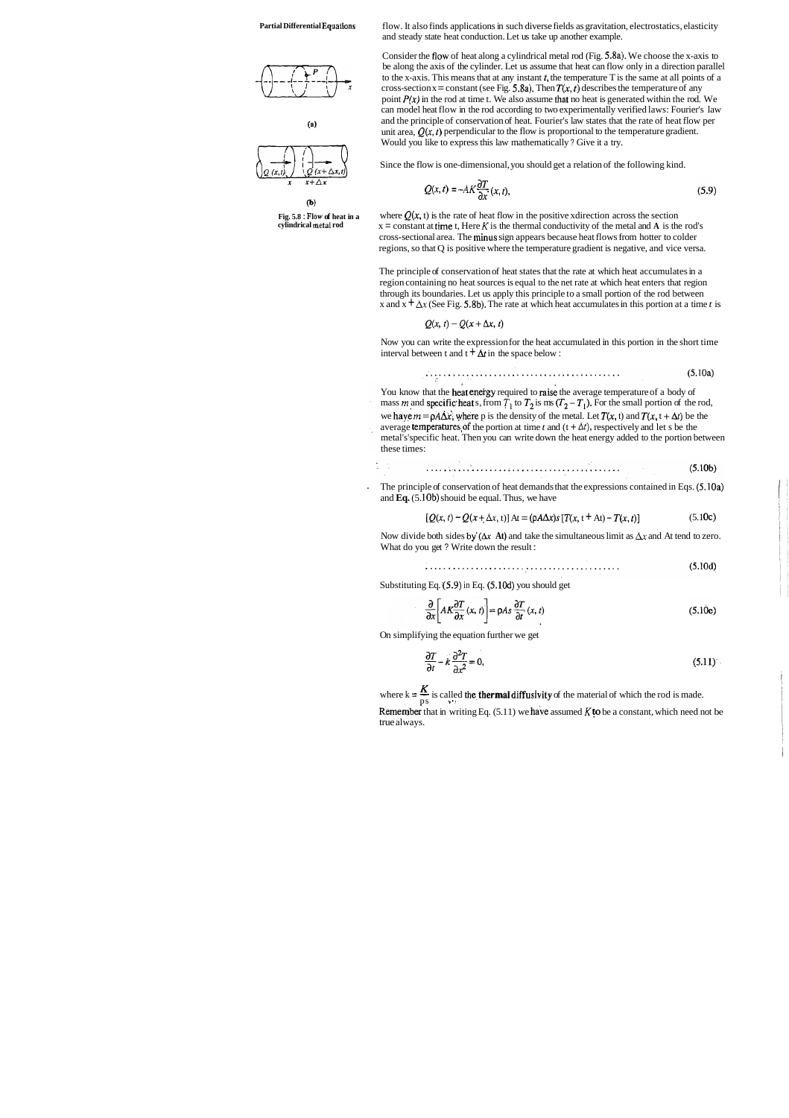**Partial Differential Equations** 



 $\left( a\right)$ 



 $(b)$ **Fig. 5.8** : **Flow of heat in a** 



flow. It also finds applications in such diverse fields as gravitation, electrostatics, elasticity and steady state heat conduction. Let us take up another example.

Consider the flow of heat along a cylindrical metal rod (Fig. 5.8a). We choose the x-axis to be along the axis of the cylinder. Let us assume that heat can flow only in a direction parallel to the x-axis. This means that at any instant  $t$ , the temperature T is the same at all points of a cross-section x = constant (see Fig. 5.8a). Then  $T(x, t)$  describes the temperature of any point  $P(x)$  in the rod at time t. We also assume that no heat is generated within the rod. We can model heat flow in the rod according to two experimentally verified laws: Fourier's law and the principle of conservation of heat. Fourier's law states that the rate of heat flow per unit area,  $Q(x, t)$  perpendicular to the flow is proportional to the temperature gradient. Would you like to express this law mathematically ? Give it a try.

where  $Q(x, t)$  is the rate of heat flow in the positive xdirection across the section  $x = constant at time t$ , Here K is the thermal conductivity of the metal and A is the rod's cross-sectional area. The minus sign appears because heat flows from hotter to colder regions, so that Q is positive where the temperature gradient is negative, and vice versa.

The principle of conservation of heat states that the rate at which heat accumulates in a region containing no heat sources is equal to the net rate at which heat enters that region through its boundaries. Let us apply this principle to a small portion of the rod between x and  $x + \Delta x$  (See Fig. 5.8b). The rate at which heat accumulates in this portion at a time *t* is

$$
Q(x, t) - Q(x + \Delta x, t)
$$

Now you can write the expression for the heat accumulated in this portion in the short time interval between t and  $t + \Delta t$  in the space below :

$$
\ldots \ldots \ldots \ldots \ldots \ldots \ldots \ldots \ldots \ldots \ldots \ldots \tag{5.10a}
$$

You know that the heat energy required to raise the average temperature of a body of mass *m* and specific heat s, from  $T_1$  to  $T_2$  is ms  $(T_2 - T_1)$ . For the small portion of the rod, we have  $m = \rho A \Delta x$ , where p is the density of the metal. Let  $T(x, t)$  and  $T(x, t + \Delta t)$  be the average **temperatures** of the portion at time *t* and  $(t + \Delta t)$ , respectively and let s be the

Since the flow is one-dimensional, you should get a relation of the following kind.

$$
Q(x,t) = -AK \frac{\partial T}{\partial x}(x,t),
$$
\n(5.9)

. The principle of conservation of heat demands that the expressions contained in Eqs. (5.10a) and **Eq.** (5.10b) shouid be equal. Thus, we have

Now divide both sides by  $(\Delta x \text{ At})$  and take the simultaneous limit as  $\Delta x$  and At tend to zero. What do you get ? Write down the result :

> $(5.10d)$

Substituting Eq.  $(5.9)$  in Eq.  $(5.10d)$  you should get

$$
\frac{\partial}{\partial x} \left[ A K \frac{\partial T}{\partial x} (x, t) \right] = \rho A s \frac{\partial T}{\partial t} (x, t)
$$
\n(5.10e)

metal's'specific heat. Then you can write down the heat energy added to the portion between these times:

$$
\mathbf{5.10b}
$$

$$
[Q(x, t) - Q(x + \Delta x, t)] \text{ At} = (\rho A \Delta x)s [T(x, t + At) - T(x, t)] \tag{5.10c}
$$

On simplifying the equation further we get

$$
\frac{\partial T}{\partial t} - k \frac{\partial^2 T}{\partial x^2} = 0,\tag{5.11}
$$

where  $k = \frac{K}{ps}$  is called the **thermal diffusivity** of the material of which the rod is made. **Remember** that in writing Eq.  $(5.11)$  we have assumed K to be a constant, which need not be

true always.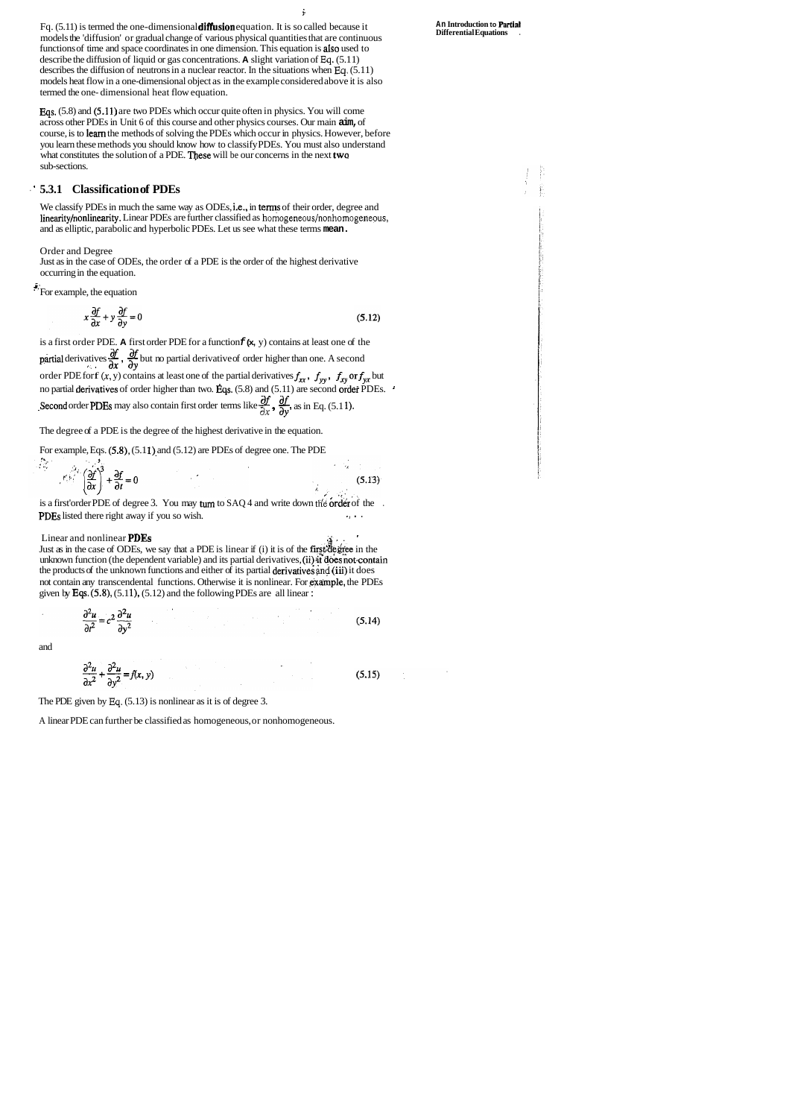Fq.  $(5.11)$  is termed the one-dimensional diffusion equation. It is so called because it models the 'diffusion' or gradual change of various physical quantities that are continuous functions of time and space coordinates in one dimension. This equation is aIso used to describe the diffusion of liquid or gas concentrations. **A** slight variation of **Eq.** (5.1 1) describes the diffusion of neutrons in a nuclear reactor. In the situations when **Eq.** (5.1 1) models heat flow in a one-dimensional object as in the example considered above it is also termed the one- dimensional heat flow equation.

Ŷ

We classify PDEs in much the same way as ODEs, i.e., in terms of their order, degree and linearity/nonlinearity. Linear PDEs are further classified as **homogeneous/nonhomogeneous,**  and as elliptic, parabolic and hyperbolic PDEs. Let us see what these terms **mean.** 

is a first order PDE. **A** first order PDE for a function **f (x,** y) contains at least one of the partial derivatives  $\frac{\partial f}{\partial x}$ ,  $\frac{\partial f}{\partial y}$  but no partial derivative of order higher than one. A second order PDE for  $f(x, y)$  contains at least one of the partial derivatives  $f_{xx}$ ,  $f_{yy}$ ,  $f_{xy}$  or  $f_{yx}$  but no partial derivatives of order higher than two. Eqs.  $(5.8)$  and  $(5.11)$  are second order PDEs. **Second** order PDEs may also contain first order terms like  $\frac{\partial f}{\partial x}$ ,  $\frac{\partial f}{\partial y}$ , as in Eq. (5.11).

Fqs. (5.8) and (5.1 1) are two PDEs which occur quite often in physics. You will come across other PDEs in Unit 6 of this course and other physics courses. Our main **aim,** of course, is to learn the methods of solving the PDEs which occur in physics. However, before you learn these methods you should know how to classify PDEs. You must also understand what constitutes the solution of a PDE. These will be our concerns in the next two sub-sections.

#### ' ' **5.3.1 Classification of PDEs**

Order and Degree

Just as in the case of ODEs, the order of a PDE is the order of the highest derivative occurring in the equation.

 $\ddot{\cdot}$  For example, the equation

$$
x\frac{\partial f}{\partial x} + y\frac{\partial f}{\partial y} = 0\tag{5.12}
$$

The degree of a PDE is the degree of the highest derivative in the equation.

For example, Eqs.  $(5.8)$ ,  $(5.11)$  and  $(5.12)$  are PDEs of degree one. The PDE

$$
\mathcal{L} \left( \frac{\partial f}{\partial x} \right)^3 + \frac{\partial f}{\partial t} = 0 \tag{5.13}
$$

is a first'order PDE of degree 3. You may turn to SAQ 4 and write down the order of the . **PDEs** listed there right away if you so wish.

Linear and nonlinear PDEs **.a;,** . '

Just as in the case of ODEs, we say that a PDE is linear if  $(i)$  it is of the first degree in the unknown function (the dependent variable) and its partial derivatives, (ii) it does not contain the products of the unknown functions and either of its partial derivativeg **md** (iii) it does not contain any transcendental functions. Otherwise it is nonlinear. For example, the PDEs given by Eqs.  $(5.8)$ ,  $(5.11)$ ,  $(5.12)$  and the following PDEs are all linear:

$$
\frac{\partial^2 u}{\partial t^2} = c^2 \frac{\partial^2 u}{\partial y^2}
$$
 (5.14)

and

$$
\frac{\partial^2 u}{\partial x^2} + \frac{\partial^2 u}{\partial y^2} = f(x, y) \tag{5.15}
$$

**An Introduction to Partiat Differential Equations** .

The PDE given by **Eq.** (5.13) is nonlinear as it is of degree 3.

A linear PDE can further be classified as homogeneous, or nonhomogeneous.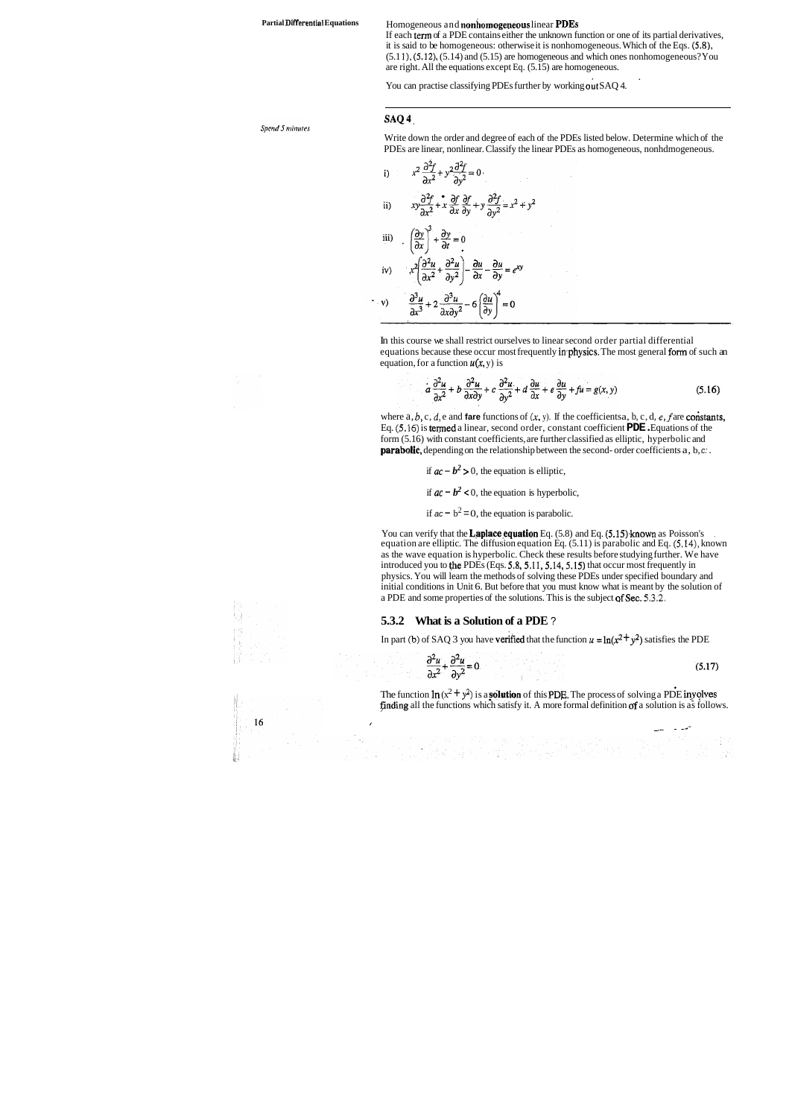#### Partial Differential Equations **Homogeneous and nonhomogeneous linear PDEs**

Write down the order and degree of each of the PDEs listed below. Determine which of the PDEs are linear, nonlinear. Classify the linear PDEs as homogeneous, nonhdmogeneous.  $22c$  $22c$ 

i) 
$$
x^2 \frac{\partial}{\partial x^2} + y^2 \frac{\partial}{\partial y^2} = 0
$$
  
\nii)  $xy \frac{\partial^2 f}{\partial x^2} + x \frac{\partial f}{\partial x} \frac{\partial f}{\partial y} + y \frac{\partial^2 f}{\partial y^2} = x^2 + y^2$   
\niii)  $\left(\frac{\partial y}{\partial x}\right)^3 + \frac{\partial y}{\partial t} = 0$   
\niv)  $x^2 \left(\frac{\partial^2 u}{\partial x^2} + \frac{\partial^2 u}{\partial y^2}\right) - \frac{\partial u}{\partial x} - \frac{\partial u}{\partial y} = e^{xy}$   
\nv)  $\frac{\partial^3 u}{\partial x^3} + 2 \frac{\partial^3 u}{\partial x \partial y^2} - 6 \left(\frac{\partial u}{\partial y}\right)^4 = 0$ 

If each term of a PDE contains either the unknown function or one of its partial derivatives, it is said to be homogeneous: otherwise it is nonhomogeneous. Which of the Eqs. (5.8),  $(5.11)$ ,  $(5.12)$ ,  $(5.14)$  and  $(5.15)$  are homogeneous and which ones nonhomogeneous? You are right. All the equations except Eq. (5.15) are homogeneous.

You can practise classifying PDEs further by working out SAQ 4.

#### SAQ<sup>4</sup>

Spend 5 minutes

In this course we shall restrict ourselves to linear second order partial differential equations because these occur most frequently in *physics*. The most general form of such an equation, for a function  $u(x, y)$  is

$$
a\frac{\partial^2 u}{\partial x^2} + b\frac{\partial^2 u}{\partial x \partial y} + c\frac{\partial^2 u}{\partial y^2} + d\frac{\partial u}{\partial x} + e\frac{\partial u}{\partial y} + fu = g(x, y)
$$
(5.16)

where  $a, b, c, d$ ,  $e$  and **fare** functions of  $(x, y)$ . If the coefficients a, b, c, d, e, f are **constants**, Eq.  $(5.16)$  is termed a linear, second order, constant coefficient **PDE**. Equations of the form (5.16) with constant coefficients, are further classified as elliptic, hyperbolic and **parabolic,** depending on the relationship between the second- order coefficients a, b, c:

if  $ac - b^2 > 0$ , the equation is elliptic,

if  $ac - b^2 < 0$ , the equation is hyperbolic,

if  $ac - b^2 = 0$ , the equation is parabolic.

You can verify that the **Laplace equation** Eq.  $(5.8)$  and Eq.  $(5.15)$  known as Poisson's equation are elliptic. The diffusion equation Eq. (5.1 1) is parabolic and Eq. **(5.14),** known as the wave equation is hyperbolic. Check these results before studying further. We have introduced you to the PDEs (Eqs. 5,8, 5.11, 5.14, 5.15) that occur most frequently in physics. You will learn the methods of solving these PDEs under specified boundary and initial conditions in Unit 6. But before that you must know what is meant by the solution of a PDE and some properties of the solutions. This is the subject of Sec. 5.3.2.

The function  $\ln(x^2 + y^2)$  is a **solution** of this PDE. The process of solving a PDE inyolves Fnding all the functions which satisfy it. A more formal definition of a solution is as follows.

#### **5.3.2 What is a Solution of a PDE** ?

In part **(b)** of SAQ 3 you have **verified** that the function  $u = \ln(x^2 + y^2)$  satisfies the PDE

$$
\frac{\partial^2 u}{\partial x^2} + \frac{\partial^2 u}{\partial y^2} = 0
$$
\n(5.17)

**I** 

16

-- - -- -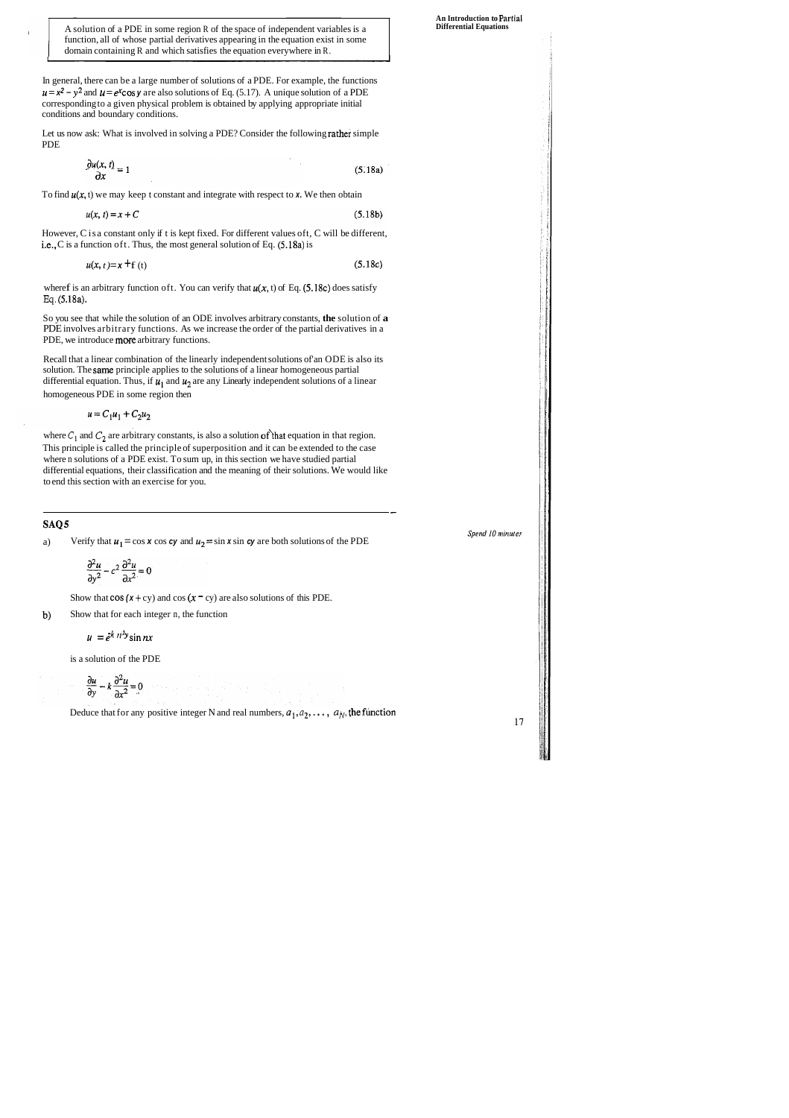A solution of a PDE in some region R of the space of independent variables is a function, all of whose partial derivatives appearing in the equation exist in some domain containing R and which satisfies the equation everywhere in R.

In general, there can be a large number of solutions of a PDE. For example, the functions  $u = x^2 - y^2$  and  $u = e^x \cos y$  are also solutions of Eq. (5.17). A unique solution of a PDE corresponding to a given physical problem is obtained by applying appropriate initial conditions and boundary conditions.

where f is an arbitrary function of t. You can verify that  $u(x, t)$  of Eq. (5.18c) does satisfy **Eq.** (5.18a).

So you see that while the solution of an ODE involves arbitrary constants, **the** solution of **a**  PDE involves arbitrary functions. As we increase the order of the partial derivatives in a PDE, we introduce more arbitrary functions.

Let us now ask: What is involved in solving a PDE? Consider the following rather simple PDE

$$
\frac{\partial u(x,t)}{\partial x} = 1\tag{5.18a}
$$

To find  $u(x, t)$  we may keep t constant and integrate with respect to  $x$ . We then obtain

$$
u(x, t) = x + C \tag{5.18b}
$$

However, C isa constant only if t is kept fixed. For different values oft, C will be different, i.e., C is a function oft. Thus, the most general solution of Eq. (5.18a) is

$$
u(x, t) = x + f(t)
$$
\n(5.18c)

where  $C_1$  and  $C_2$  are arbitrary constants, is also a solution of that equation in that region. This principle is called the principle of superposition and it can be extended to the case where n solutions of a PDE exist. To sum up, in this section we have studied partial differential equations, their classification and the meaning of their solutions. We would like to end this section with an exercise for you.

Recall that a linear combination of the linearly independent solutions of'an ODE is also its solution. The same principle applies to the solutions of a linear homogeneous partial differential equation. Thus, if  $u_1$  and  $u_2$  are any Linearly independent solutions of a linear homogeneous PDE in some region then

$$
u = C_1 u_1 + C_2 u_2
$$

-

#### **SAQ 5**

a) Verify that  $u_1 = \cos x \cos cy$  and  $u_2 = \sin x \sin cy$  are both solutions of the PDE

$$
\frac{\partial^2 u}{\partial y^2} - c^2 \frac{\partial^2 u}{\partial x^2} = 0
$$

Show that  $cos(x + cy)$  and  $cos(x - cy)$  are also solutions of this PDE.

b) Show that for each integer n, the function

$$
u = e^{k n^2 y} \sin nx
$$

is a solution of the PDE

$$
\frac{\partial u}{\partial y} - k \frac{\partial^2 u}{\partial x^2} = 0
$$

Deduce that for any positive integer N and real numbers,  $a_1, a_2, \ldots, a_N$ , the function

**An Introduction to Pnrtial Differential Equations** 

Spend 10 minutes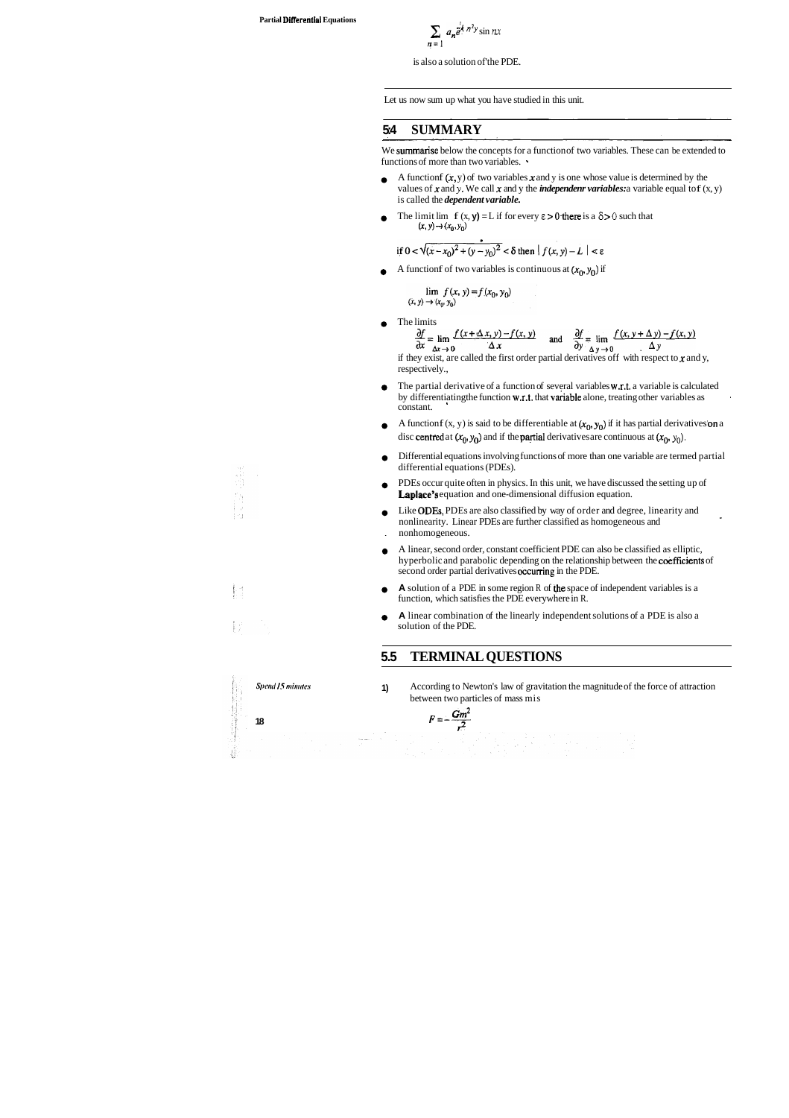$$
\sum_{n=1} a_n \tilde{e}^{k n^2 y} \sin nx
$$

is also a solution of'the PDE.

We summarise below the concepts for a function of two variables. These can be extended to functions of more than two variables.  $\cdot$ 

- A function  $f(x, y)$  of two variables x and y is one whose value is determined by the  $\bullet$ values of  $x$  and  $y$ . We call  $x$  and  $y$  the *independenr variables:* a variable equal to  $f(x, y)$ is called the *dependent variable.*
- The limit lim  $f(x, y) = L$  if for every  $\varepsilon > 0$  there is a  $\delta > 0$  such that  $\bullet$  $(x, y) \rightarrow (x_0, y_0)$

if 
$$
0 < \sqrt{(x-x_0)^2 + (y-y_0)^2} < \delta
$$
 then  $|f(x, y) - L| < \varepsilon$ 

A function f of two variables is continuous at  $(x_0, y_0)$  if

$$
\lim_{(x, y) \to (x_0, y_0)} f(x, y) = f(x_0, y_0)
$$

Let us now sum up what you have studied in this unit.

## **5:4 SUMMARY**

 $\alpha$ <sup>y</sup>  $\Delta$  y  $\rightarrow$  0 if they exist, are called the first order partial derivatives off with respect to  $x$  and  $y$ , respectively.,

The limits

$$
\frac{\partial f}{\partial x} = \lim_{\Delta x \to 0} \frac{f(x + \Delta x, y) - f(x, y)}{\Delta x} \quad \text{and} \quad \frac{\partial f}{\partial y} = \lim_{\Delta y \to 0} \frac{f(x, y + \Delta y) - f(x, y)}{\Delta y}
$$

- The partial derivative of a function of several variables w.r.t. a variable is calculated  $\bullet$ by differentiating the function  $w.r.t.$  that variable alone, treating other variables as constant.
- A function f (x, y) is said to be differentiable at  $(x_0, y_0)$  if it has partial derivatives on a  $\bullet$ disc centred at  $(x_0, y_0)$  and if the partial derivatives are continuous at  $(x_0, y_0)$ .
- Differential equations involving functions of more than one variable are termed partial  $\bullet$ differential equations (PDEs).
- PDEs occur quite often in physics. In this unit, we have discussed the setting up of Laplace's equation and one-dimensional diffusion equation.
- Like ODEs, PDEs are also classified by way of order and degree, linearity and  $\bullet$ nonlinearity. Linear PDEs are further classified as homogeneous and . nonhomogeneous.
- A linear, second order, constant coefficient PDE can also be classified as elliptic,  $\bullet$ hyperbolic and parabolic depending on the relationship between the coefficients of second order partial derivatives occurring in the PDE.
- **A** solution of a PDE in some region R of the space of independent variables is a  $\bullet$ function, which satisfies the PDE everywhere in R.
- **A** linear combination of the linearly independent solutions of a PDE is also a  $\bullet$ solution of the PDE.

**Spend 15 minutes 1)** According to Newton's law of gravitation the magnitude of the force of attraction between two particles of mass mis

**18**  $F = -\frac{Gm^2}{r^2}$ 

### **5.5 TERMINAL QUESTIONS**



事。<br>事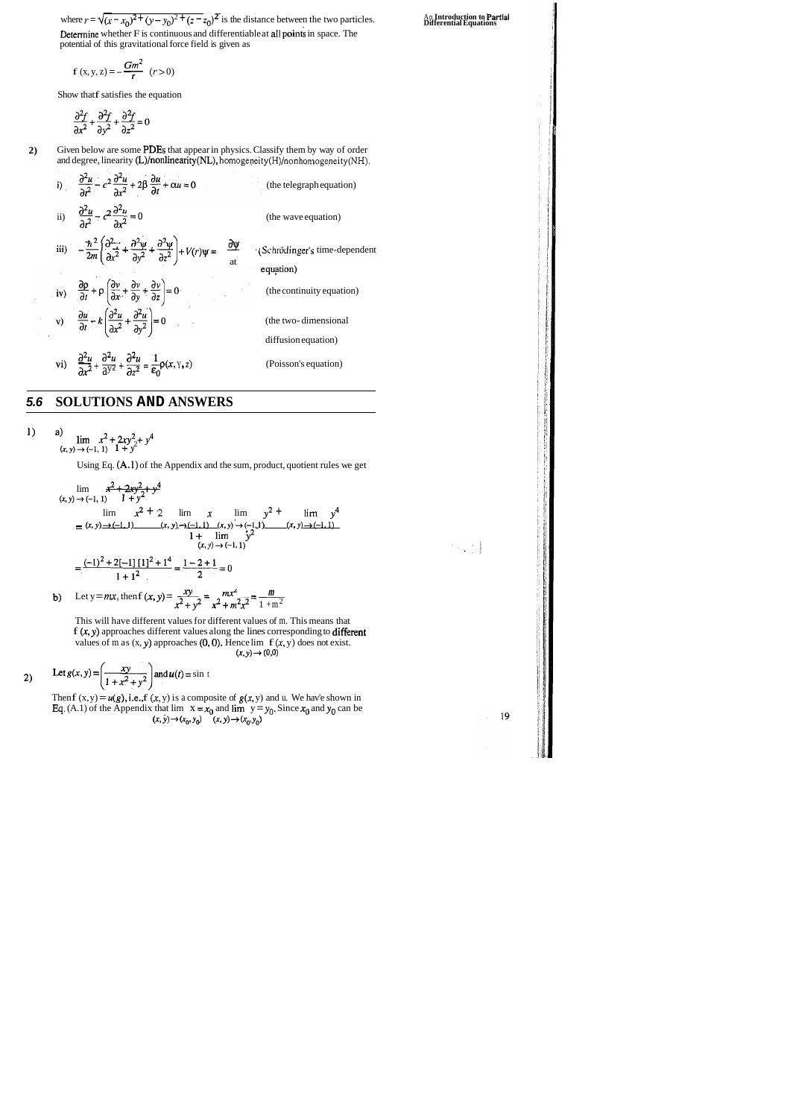where  $r = \sqrt{(x - x_0)^2 + (y - y_0)^2 + (z - z_0)^2}$  is the distance between the two particles. An **Introduction to Partial** Equations Determine whether F is continuous and differentiable at all points in space. The potential of this gravitational force field is given as for  $r = \sqrt{x^2 + 40}$ ,  $\sqrt{x^3 + 60}$ <br>
ermine whether F is continuantial of this gravitational for<br>  $f(x, y, z) = -\frac{Gm^2}{r}$  ( $r > 0$ )

$$
f(x, y, z) = -\frac{Gm^2}{r} \quad (r > 0)
$$

Show that f satisfies the equation

$$
\frac{\partial^2 f}{\partial x^2} + \frac{\partial^2 f}{\partial y^2} + \frac{\partial^2 f}{\partial z^2} = 0
$$

**2)** Given below are some PDEs that appear in physics. Classify them by way of order and degree, linearity (L)/nonlinearity(NL), **homogeneity(H)/nonhomogeneity(NH).** 

> This will have different values for different values of m. This means that  $f(x, y)$  approaches different values along the lines corresponding to different values of m as  $(x, y)$  approaches  $(0, 0)$ . Hence lim  $f(x, y)$  does not exist.  $(x, y) \rightarrow (0, 0)$

i) 
$$
\frac{\partial^2 u}{\partial t^2} - c^2 \frac{\partial^2 u}{\partial x^2} + 2\beta \frac{\partial u}{\partial t} + \alpha u = 0
$$
 (the telegraph equation)  
\nii) 
$$
\frac{\partial^2 u}{\partial t^2} - c^2 \frac{\partial^2 u}{\partial x^2} = 0
$$
 (the wave equation)  
\niii) 
$$
-\frac{\hbar^2}{2m} \left( \frac{\partial^2 u}{\partial x^2} + \frac{\partial^2 u}{\partial y^2} + \frac{\partial^2 u}{\partial z^2} \right) + V(r)\psi = \frac{\partial \psi}{\partial t}
$$
 (Schrödinger's time-dependent equation)  
\niv) 
$$
\frac{\partial \rho}{\partial t} + \rho \left( \frac{\partial v}{\partial x} + \frac{\partial v}{\partial y} + \frac{\partial v}{\partial z} \right) = 0
$$
 (the continuity equation)  
\nv) 
$$
\frac{\partial u}{\partial t} - k \left( \frac{\partial^2 u}{\partial x^2} + \frac{\partial^2 u}{\partial y^2} \right) = 0
$$
 (the two-dimensional diffusion)

## **5.6 SOLUTIONS AND ANSWERS**

1) a)  $\lim x^2 + 2xy^2 + y^4$  $(x, y) \rightarrow (-1, 1)$   $1 + y^2$ 

Using Eq. (A.1) of the Appendix and the sum, product, quotient rules we get

$$
\lim_{(x,y)\to(-1, 1)} \frac{x^2 + 2xy^2 + y^4}{1 + y^2}
$$
\n
$$
\lim_{(x,y)\to(-1, 1)} \frac{x^2 + 2}{1 + y^2} = \lim_{(x,y)\to(-1, 1)} \frac{x}{(x,y) + (-1, 1)} = \lim_{(x,y)\to(-1, 1)} \frac{y^2 + y^4}{(x,y) + (-1, 1)} = \frac{(-1)^2 + 2[-1][1]^2 + 1^4}{1 + 1^2} = \frac{1 - 2 + 1}{2} = 0
$$
\n(b) Let  $y = mx$ , then  $f(x, y) = \frac{xy}{x^2 + y^2} = \frac{mx^2}{x^2 + m^2x^2} = \frac{m}{1 + m^2}$ 

**b**) Let 
$$
y = mx
$$
, then  $f(x, y) = \frac{xy}{x^2 + y^2} = \frac{mx^2}{x^2 + m^2x^2} = \frac{m}{1 + m^2}$ 

2) Let 
$$
g(x, y) = \left(\frac{xy}{1 + x^2 + y^2}\right)
$$
 and  $u(t) = \sin t$ 

Then  $f(x, y) = u(g)$ , i.e.,  $f(x, y)$  is a composite of  $g(x, y)$  and u. We hav'e shown in **Eq.** (A.1) of the Appendix that lim  $x = x_0$  and lim  $y = y_0$ . Since  $x_0$  and  $y_0$  can be  $(x, y) \to (x_0, y_0)$   $(x, y) \to (x_0, y_0)$ 

19

 $\mathcal{N}_{\text{max}}$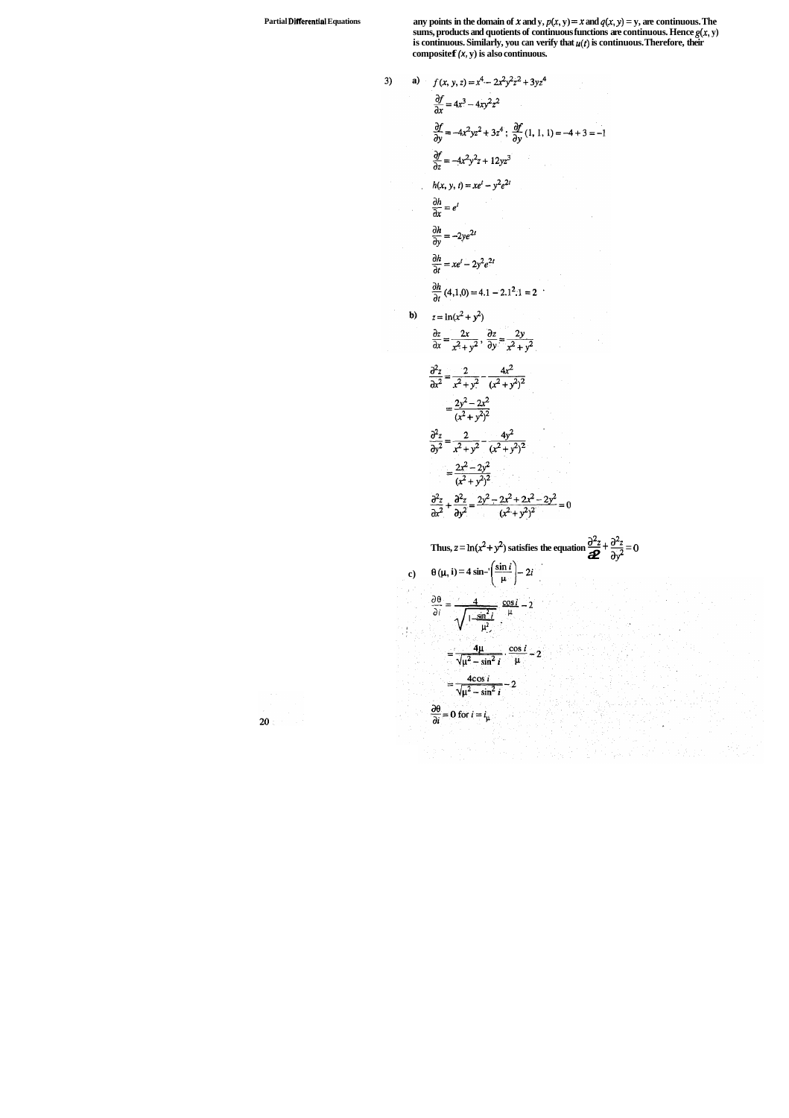**Partial Differential** Equations any points in the domain of  $x$  and  $y$ ,  $p(x, y) = x$  and  $q(x, y) = y$ , are continuous. The sums, products and quotients of continuous functions are continuous. Hence  $g(x, y)$ is continuous. Similarly, you can verify that  $u(t)$  is continuous. Therefore, their compositef  $(x, y)$  is also continuous.

3)   
\na) 
$$
f(x, y, z) = x^4 - 2x^2y^2z^2 + 3yz^4
$$
  
\n $\frac{\partial f}{\partial x} = 4x^3 - 4xy^2z^2$   
\n $\frac{\partial f}{\partial y} = -4x^2yz^2 + 3z^4$ ;  $\frac{\partial f}{\partial y}(1, 1, 1) = -4 + 3 = -1$   
\n $\frac{\partial f}{\partial z} = -4x^2y^2z + 12yz^3$   
\n $h(x, y, t) = xe^t - y^2e^{2t}$   
\n $\frac{\partial h}{\partial x} = e^t$   
\n $\frac{\partial h}{\partial y} = -2ye^{2t}$   
\n $\frac{\partial h}{\partial t} = xe^t - 2y^2e^{2t}$   
\n $\frac{\partial h}{\partial t} = (4, 1, 0) = 4.1 - 2.1^2.1 = 2$   
\nb)  $z = \ln(x^2 + y^2)$   
\n $\frac{\partial z}{\partial x} = \frac{2x}{x^2 + y^2}, \frac{\partial z}{\partial y} = \frac{2y}{x^2 + y^2}$   
\n $\frac{\partial^2 z}{\partial x^2} = \frac{2}{x^2 + y^2}, \frac{4x^2}{(x^2 + y^2)^2}$   
\n $= \frac{2y^2 - 2x^2}{(x^2 + y^2)^2}$   
\n $\frac{\partial^2 z}{\partial y^2} = \frac{2}{x^2 + y^2}, \frac{4y^2}{(x^2 + y^2)^2}$   
\n $= \frac{2x^2 - 2y^2}{(x^2 + y^2)^2}$   
\n $\frac{\partial^2 z}{\partial x^2} + \frac{\partial^2 z}{\partial y^2} = \frac{2y^2 - 2z^2 + 2z^2 - 2y^2}{(x^2 + y^2)^2} = 0$   
\nThus,  $z = \ln(x^2 + y^2)$  satisfies the equation  $\frac{\partial^2 z}{\partial z^2} + \frac{\partial^2 z}{\partial y^2} = 0$   
\nc)  $\theta(\mu, i) = 4 \sin^{-1}(\frac{\sin t}{\mu}) - 2t$   
\n $\frac{\partial \$ 

an di Kabupatén Propinsi Jawa<br>Pangantan Tandarén Kabupatén Ka

决选主

$$
\frac{1}{20} \left( \frac{1}{2} \right)^{1/2}
$$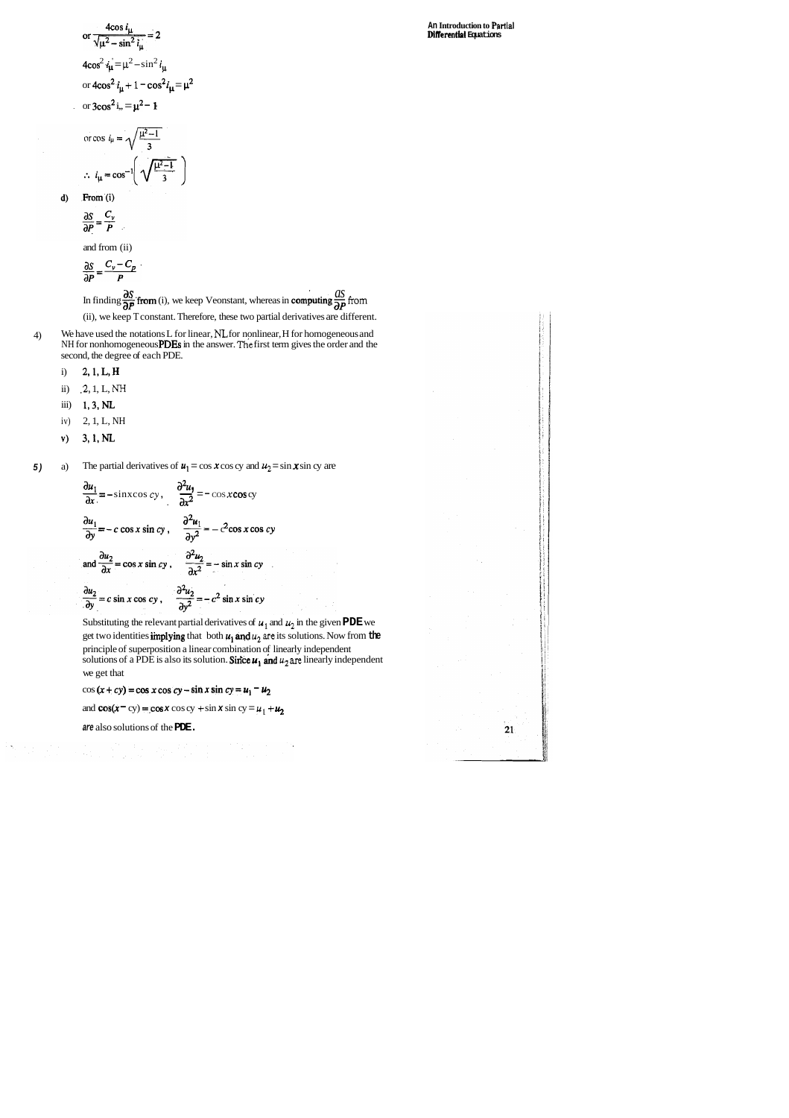or 
$$
\frac{4\cos i_{\mu}}{\sqrt{\mu^2 - \sin^2 i_{\mu}}} = 2
$$
  
4cos<sup>2</sup> i<sub>\mu</sub> =  $\mu^2 - \sin^2 i_{\mu}$   
or  $4\cos^2 i_{\mu} + 1 - \cos^2 i_{\mu} = \mu^2$   
or  $3\cos^2 i_{\mu} = \mu^2 - 1$ 

$$
\cos i_{\mu} = \sqrt{\frac{\mu^2 - 1}{3}}
$$

$$
i_{\mu} = \cos^{-1}\left(\sqrt{\frac{\mu^2 - 1}{3}}\right)
$$

From (i)  $d)$ 

 $\mathcal{L}_{\mathbf{r}}$ 

 $O<sub>L</sub>$ 

$$
\frac{\partial S}{\partial P} = \frac{C_v}{P}
$$

and from (ii)

$$
\frac{\partial S}{\partial P} = \frac{C_v - C}{P}
$$

 $\frac{\partial S}{\partial P} = \frac{V}{P}$ <br>In finding  $\frac{\partial S}{\partial P}$  from (i), we keep Veonstant, whereas in computing  $\frac{\partial S}{\partial P}$  from (ii), we keep T constant. Therefore, these two partial derivatives are different.

- 4) We have used the notations L for linear, **NL** for nonlinear, H for homogeneous and NH for nonhomogeneous PDEs in the answer. The first term gives the order and the second, the degree of each PDE.
	- i) 2,1,L,H
	- ii) **.2,** 1, L, **NH**
	- iii) 1,3,NL
	- iv) 2, 1, L, NH
	- v) 3,1,NL

**5)** a) The partial derivatives of  $u_1 = \cos x \cos cy$  and  $u_2 = \sin x \sin cy$  are

Substituting the relevant partial derivatives of  $u_1$  and  $u_2$  in the given PDE we get two identities **implying** that both  $u_1$  and  $u_2$  are its solutions. Now from the principle of superposition a linear combination of linearly independent solutions of a PDE is also its solution. Since  $u_1$  and  $u_2$  are linearly independent we get that

 $cos (x + cy) = cos x cos cy - sin x sin cy = u<sub>1</sub> - u<sub>2</sub>$ 

and  $\cos(x - cy) = \cos x \cos cy + \sin x \sin cy = u_1 + u_2$ 

**An Introduction to Partial DiRerential Equations** 

 $21$ 

The partial derivatives of 
$$
u_1 = \cos x \cos cy
$$
 and  $u_2 = \frac{\partial u_1}{\partial x} = -\sin x \cos cy$ ,  $\frac{\partial^2 u_1}{\partial x^2} = -\cos x \cos cy$   
\n $\frac{\partial u_1}{\partial y} = -c \cos x \sin cy$ ,  $\frac{\partial^2 u_1}{\partial y^2} = -c^2 \cos x \cos cy$   
\nand  $\frac{\partial u_2}{\partial x} = \cos x \sin cy$ ,  $\frac{\partial^2 u_2}{\partial x^2} = -\sin x \sin cy$   
\n $\frac{\partial u_2}{\partial y} = c \sin x \cos cy$ ,  $\frac{\partial^2 u_2}{\partial y^2} = -c^2 \sin x \sin cy$ 

**are** also solutions of the **PDE.**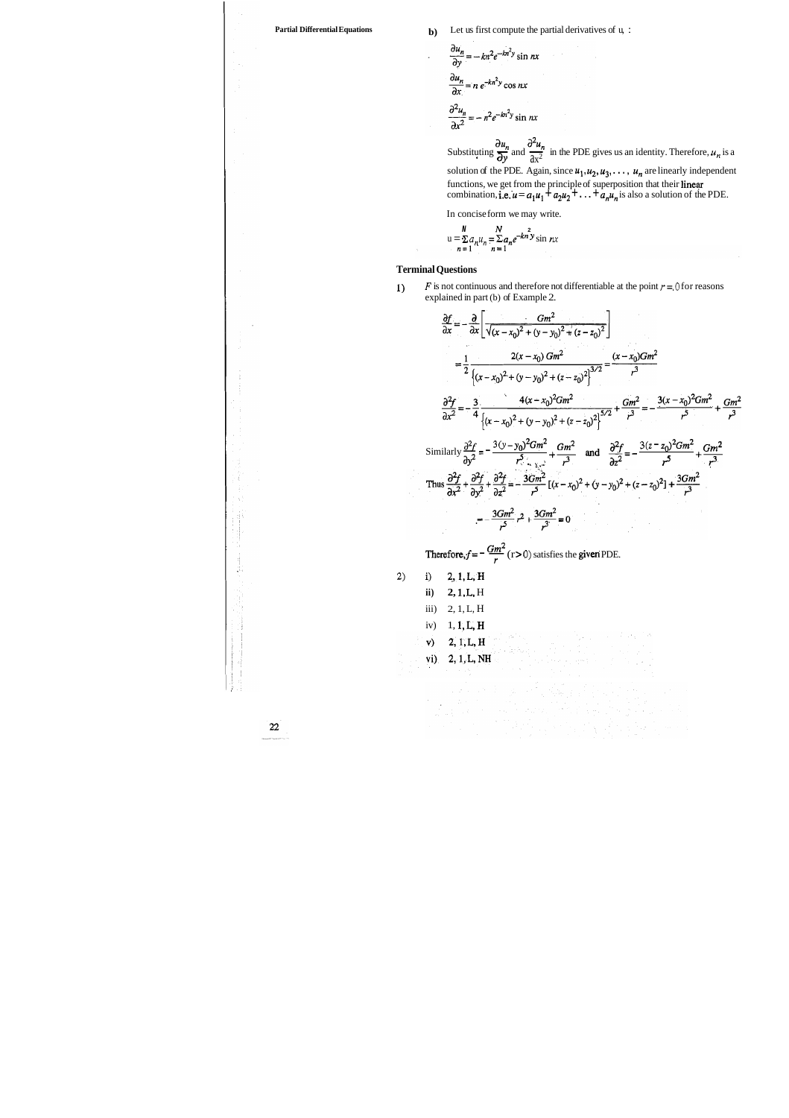**Partial Differential Equations b**) Let us first compute the partial derivatives of u, :

$$
\frac{\partial u_n}{\partial y} = -kn^2 e^{-kn^2 y} \sin nx
$$
  

$$
\frac{\partial u_n}{\partial x} = n e^{-kn^2 y} \cos nx
$$
  

$$
\frac{\partial^2 u_n}{\partial x^2} = -n^2 e^{-kn^2 y} \sin nx
$$

 $\frac{\partial^2 u_n}{\partial x^2} = -n^2 e^{-kn^2 y} \sin nx$ <br>Substituting  $\frac{\partial u_n}{\partial y}$  and  $\frac{\partial^2 u_n}{\partial x^2}$  in the PDE gives us an identity. Therefore,  $u_n$  is a

solution of the PDE. Again, since  $u_1, u_2, u_3, \ldots, u_n$  are linearly independent functions, we get from the principle of superposition that their linear combination, i.e.  $u = a_1u_1 + a_2u_2 + ... + a_nu_n$  is also a solution of the PDE.

1) *F* is not continuous and therefore not differentiable at the point  $r = 0$  for reasons explained in part (b) of Example 2.

- **2) i)** 2.,l,L,H
	- **ii) 2, 1, L.** H
	- iii) 2, 1, L, H
	- iv) 1, 1, L, H
	- $2, 1, L, H$ v)
	- vi) 2, 1, L, NH
	-

22

 $\mathbf{z}_{\text{obs}}$  and

In concise form we may write.

$$
u = \sum_{n=1}^{N} a_n u_n = \sum_{n=1}^{N} a_n e^{-kn^2} y \sin nx
$$

#### **Terminal Questions**

 $\hat{\gamma}$ 

$$
\frac{\partial f}{\partial x} = -\frac{\partial}{\partial x} \left[ \frac{Gm^2}{\sqrt{(x - x_0)^2 + (y - y_0)^2 + (z - z_0)^2}} \right]
$$
\n
$$
= \frac{1}{2} \frac{2(x - x_0) Gm^2}{\left[ (x - x_0)^2 + (y - y_0)^2 + (z - z_0)^2 \right]^{3/2}} = \frac{(x - x_0) Gm^2}{r^3}
$$
\n
$$
\frac{\partial^2 f}{\partial x^2} = -\frac{3}{4} \frac{4(x - x_0)^2 Gm^2}{\left[ (x - x_0)^2 + (y - y_0)^2 + (z - z_0)^2 \right]^{5/2}} + \frac{Gm^2}{r^3} = -\frac{3(x - x_0)^2 Gm^2}{r^5} + \frac{Gm^2}{r^3}
$$
\nSimilarly  $\frac{\partial^2 f}{\partial y^2} = -\frac{3(y - y_0)^2 Gm^2}{r^5} + \frac{Gm^2}{r^3}$  and  $\frac{\partial^2 f}{\partial z^2} = -\frac{3(z - z_0)^2 Gm^2}{r^5} + \frac{Gm^2}{r^3}$   
\nThus  $\frac{\partial^2 f}{\partial x^2} + \frac{\partial^2 f}{\partial y^2} + \frac{\partial^2 f}{\partial z^2} = -\frac{3Gm^2}{r^5} [(x - x_0)^2 + (y - y_0)^2 + (z - z_0)^2] + \frac{3Gm^2}{r^3}$   
\n
$$
= -\frac{3Gm^2}{r^5} r^2 + \frac{3Gm^2}{r^3} = 0
$$
\nTherefore,  $f = -\frac{Gm^2}{r} (r > 0)$  satisfies the given PDE.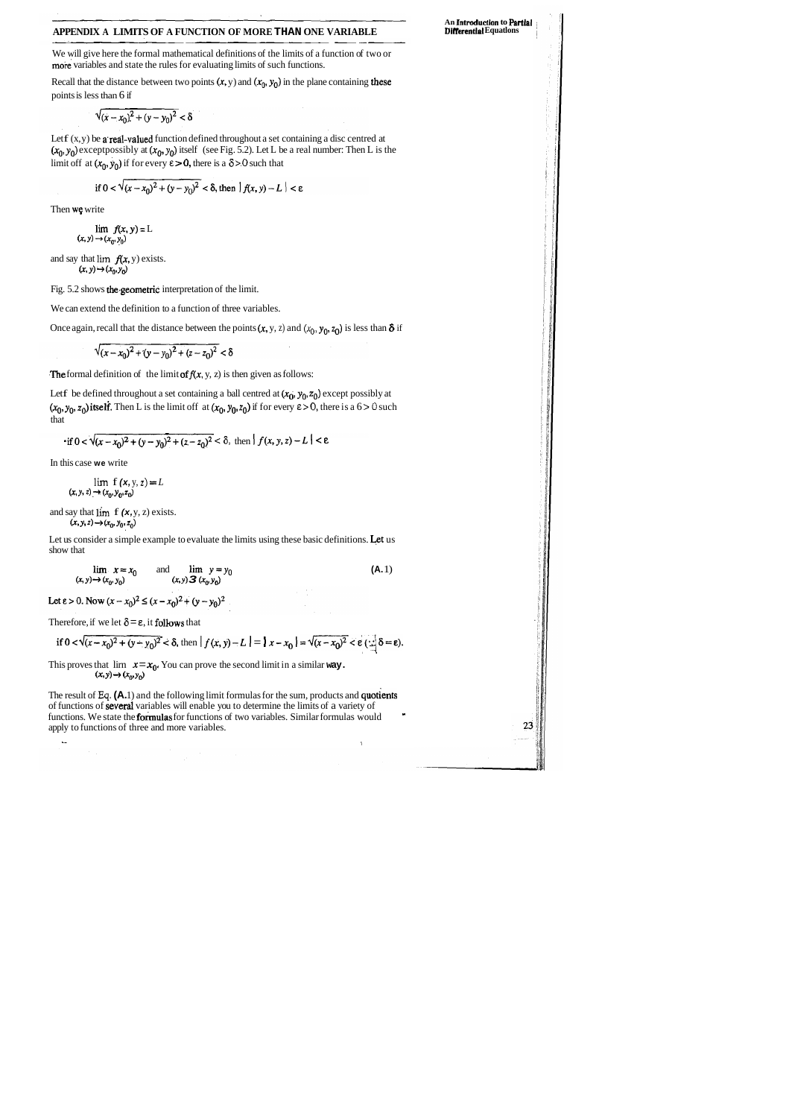#### **APPENDIX A LIMITS OF A FUNCTION OF MORE THAN ONE VARIABLE**

We will give here the formal mathematical definitions of the limits of a function of two or more variables and state the rules for evaluating limits of such functions.

Recall that the distance between two points  $(x, y)$  and  $(x_0, y_0)$  in the plane containing these points is less than 6 if

$$
\sqrt{(x-x_0)^2 + (y-y_0)^2} < \delta
$$

Let  $f(x, y)$  be a real-valued function defined throughout a set containing a disc centred at  $(x_0, y_0)$  exceptpossibly at  $(x_0, y_0)$  itself (see Fig. 5.2). Let L be a real number: Then L is the limit off at  $(x_0, y_0)$  if for every  $\varepsilon > 0$ , there is a  $\delta > 0$  such that

if 
$$
0 < \sqrt{(x-x_0)^2 + (y-y_0)^2} < \delta
$$
, then  $|f(x, y) - L| < \epsilon$ 

Then we write

 $\lim f(x, y) = L$  $(x, y) \rightarrow (x_0, y_0)$ 

and say that  $\lim f(x, y)$  exists.  $(x, y) \rightarrow (x_0, y_0)$ 

Let f be defined throughout a set containing a ball centred at  $(x_0, y_0, z_0)$  except possibly at  $(x_0, y_0, z_0)$  itself. Then L is the limit off at  $(x_0, y_0, z_0)$  if for every  $\varepsilon > 0$ , there is a  $6 > 0$  such that

Fig. 5.2 shows the.geometric interpretation of the limit.

Let us consider a simple example to evaluate the limits using these basic definitions. Let us show that

We can extend the definition to a function of three variables.

Once again, recall that the distance between the points  $(x, y, z)$  and  $(x_0, y_0, z_0)$  is less than  $\delta$  if

$$
\sqrt{(x-x_0)^2 + (y-y_0)^2 + (z-z_0)^2} < \delta
$$

The formal definition of the limit of  $f(x, y, z)$  is then given as follows:

The result of **Eq. (A.** 1) and the following limit formulas for the sum, products and quotients of functions of several variables will enable you to determine the limits of a variety of functions. We state the **formulas** for functions of two variables. Similar formulas would apply to functions of three and more variables.

**An** Introduction **to Partial Differential Equations** 

23

$$
\text{if } 0 < \sqrt{(x - x_0)^2 + (y - y_0)^2 + (z - z_0)^2} < \delta, \text{ then } |f(x, y, z) - L| < \varepsilon
$$

In this case **we** write

$$
\lim_{(x, y, z) \to (x_0, y_0, z_0)} f(x, y, z) = L
$$

and say that  $\lim_{x \to \infty} f(x, y, z)$  exists. **(x, y, z)**  $\rightarrow$   $(x_0, y_0, z_0)$ <br>**(x, y, z)**  $\rightarrow$   $(x_0, y_0, z_0)$ 

$$
\lim_{(x, y) \to (x_0, y_0)} x = x_0 \quad \text{and} \quad \lim_{(x, y) \to (x_0, y_0)} y = y_0 \tag{A.1}
$$

Let  $\varepsilon > 0$ . Now  $(x - x_0)^2 \le (x - x_0)^2 + (y - y_0)^2$ 

Therefore, if we let  $\delta = \varepsilon$ , it follows that

$$
\text{if } 0 < \sqrt{(x-x_0)^2 + (y-y_0)^2} < \delta \text{, then } |f(x,y) - L| = |x-x_0| = \sqrt{(x-x_0)^2} < \varepsilon \left( \frac{1}{x} \delta = \varepsilon \right).
$$

This proves that  $\lim_{(x,y)\to(x_0, y_0)} x = x_0$ . You can prove the second limit in a similar way.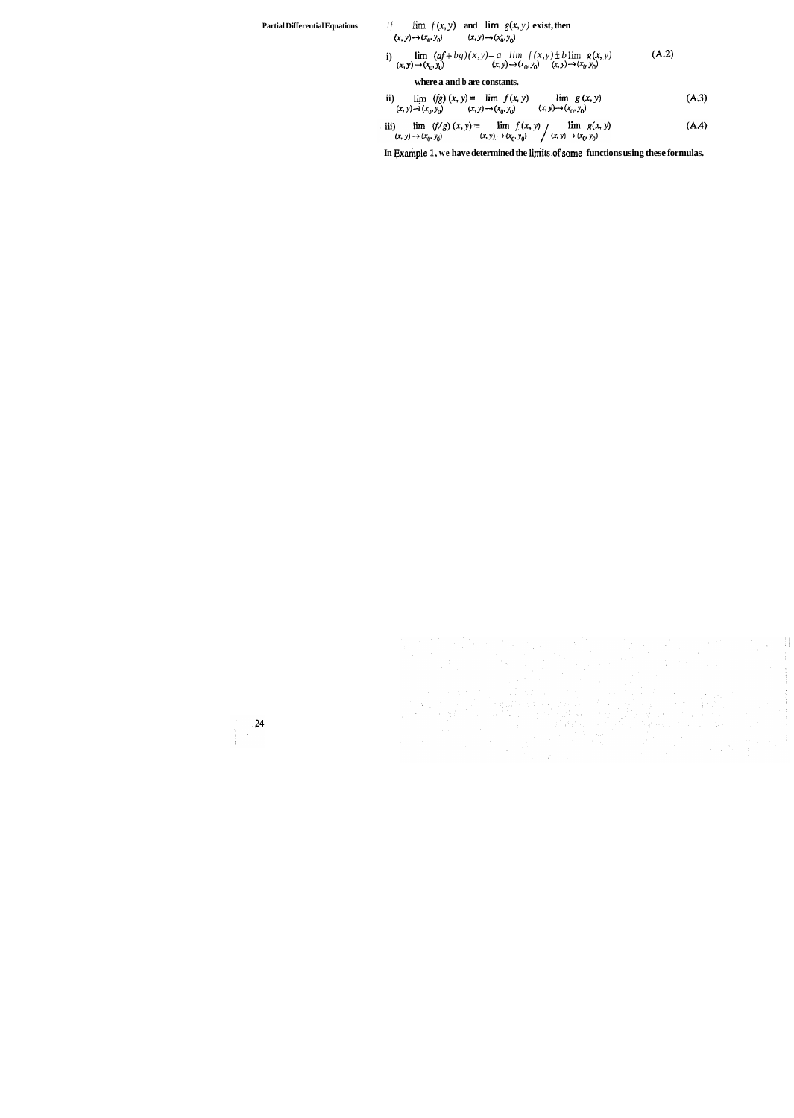# **Partial Differential Equations** *If*  $\lim f(x, y)$  **and**  $\lim g(x, y)$  **exist, then**

 $(x, y) \rightarrow (x_0, y_0)$   $(x, y) \rightarrow (x_0^*, y_0)$ 

i) 
$$
\lim_{(x, y) \to (x_0, y_0)} (af + bg)(x, y) = a \lim_{(x, y) \to (x_0, y_0)} f(x, y) \pm b \lim_{(x, y) \to (x_0, y_0)} g(x, y)
$$
 (A.2)

**where a and b are constants.** 

ii) 
$$
\lim_{(x, y) \to (x_0, y_0)} (fg) (x, y) = \lim_{(x, y) \to (x_0, y_0)} f(x, y) \qquad \lim_{(x, y) \to (x_0, y_0)} g(x, y)
$$
 (A.3)

iii) 
$$
\lim_{(x, y) \to (x_0, y_0)} (f/g) (x, y) = \lim_{(x, y) \to (x_0, y_0)} f(x, y) \qquad \lim_{(x, y) \to (x_0, y_0)} g(x, y)
$$
 (A.4)

In Example 1, we have determined the limits of some functions using these formulas.



 $\label{eq:1} \begin{split} \mathcal{L}_{\text{in}}(\mathcal{L}_{\text{in}}(\mathcal{M})) = \mathcal{L}_{\text{in}}(\mathcal{M}_{\text{in}}(\mathcal{M})) = \mathcal{L}_{\text{in}}(\mathcal{M}_{\text{in}}(\mathcal{M})) = \mathcal{L}_{\text{in}}(\mathcal{M}_{\text{in}}(\mathcal{M})) = \mathcal{L}_{\text{in}}(\mathcal{M}_{\text{in}}(\mathcal{M})) = \mathcal{L}_{\text{in}}(\mathcal{M}_{\text{in}}(\mathcal{M})) = \mathcal{L}_{\text{in}}(\mathcal{M}_{\text{in}}(\mathcal{M})) = \mathcal{L$  $24$